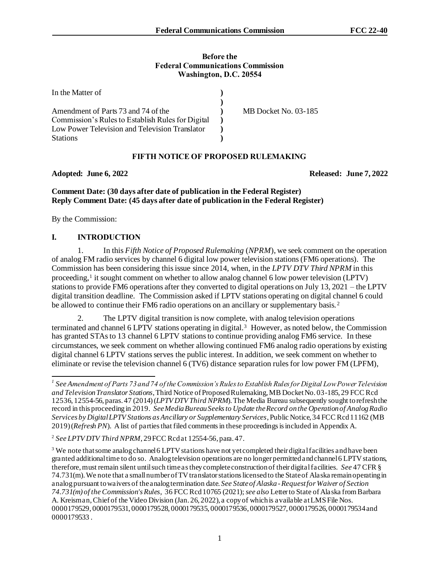#### **Before the Federal Communications Commission Washington, D.C. 20554**

| In the Matter of                                  |                      |
|---------------------------------------------------|----------------------|
|                                                   |                      |
| Amendment of Parts 73 and 74 of the               | MB Docket No. 03-185 |
| Commission's Rules to Establish Rules for Digital |                      |
| Low Power Television and Television Translator    |                      |
| <b>Stations</b>                                   |                      |

## **FIFTH NOTICE OF PROPOSED RULEMAKING**

**Adopted: June 6, 2022 Released: June 7, 2022**

## **Comment Date: (30 days after date of publication in the Federal Register) Reply Comment Date: (45 days after date of publication in the Federal Register)**

By the Commission:

# **I. INTRODUCTION**

1. In this *Fifth Notice of Proposed Rulemaking* (*NPRM*), we seek comment on the operation of analog FM radio services by channel 6 digital low power television stations (FM6 operations). The Commission has been considering this issue since 2014, when, in the *LPTV DTV Third NPRM* in this proceeding,<sup>1</sup> it sought comment on whether to allow analog channel 6 low power television (LPTV) stations to provide FM6 operations after they converted to digital operations on July 13, 2021 – the LPTV digital transition deadline. The Commission asked if LPTV stations operating on digital channel 6 could be allowed to continue their FM6 radio operations on an ancillary or supplementary basis.<sup>2</sup>

2. The LPTV digital transition is now complete, with analog television operations terminated and channel 6 LPTV stations operating in digital.<sup>3</sup> However, as noted below, the Commission has granted STAs to 13 channel 6 LPTV stations to continue providing analog FM6 service. In these circumstances, we seek comment on whether allowing continued FM6 analog radio operations by existing digital channel 6 LPTV stations serves the public interest. In addition, we seek comment on whether to eliminate or revise the television channel 6 (TV6) distance separation rules for low power FM (LPFM),

*<sup>1</sup> See Amendment of Parts 73 and 74 of the Commission's Rules to Establish Rules for Digital Low Power Television and Television Translator Stations*, Third Notice of Proposed Rulemaking, MB Docket No. 03-185, 29 FCC Rcd 12536, 12554-56, paras. 47 (2014)(*LPTV DTV Third NPRM*). The Media Bureau subsequently sought to refresh the record in this proceeding in 2019. *See Media Bureau Seeks to Update the Record on the Operation of Analog Radio Services by Digital LPTV Stations as Ancillary or Supplementary Services*, Public Notice, 34 FCC Rcd 11162 (MB 2019) (*Refresh PN*). A list of parties that filed comments in these proceedings is included in Appendix A.

<sup>&</sup>lt;sup>2</sup> See LPTV DTV Third NPRM, 29 FCC Rcd at 12554-56, para. 47.

<sup>&</sup>lt;sup>3</sup> We note that some analog channel 6 LPTV stations have not yet completed their digital facilities and have been granted additional time to do so. Analog television operations are no longer permitted and channel 6 LPTV stations, therefore, must remain silent until such time as they complete construction of their digital facilities. *See* 47 CFR § 74.731(m). We note that a small number of TV translator stations licensed to the State of Alaska remain operating in analog pursuant to waivers of the analog termination date. *See State of Alaska -Request for Waiver of Section 74.731(m) of the Commission's Rules*, 36 FCC Rcd 10765 (2021); *see also* Letter to State of Alaska from Barbara A. Kreisman, Chief of the Video Division (Jan. 26, 2022), a copy of which is available at LMS File Nos. 0000179529, 0000179531, 0000179528, 0000179535, 0000179536, 0000179527, 0000179526, 0000179534 and 0000179533 .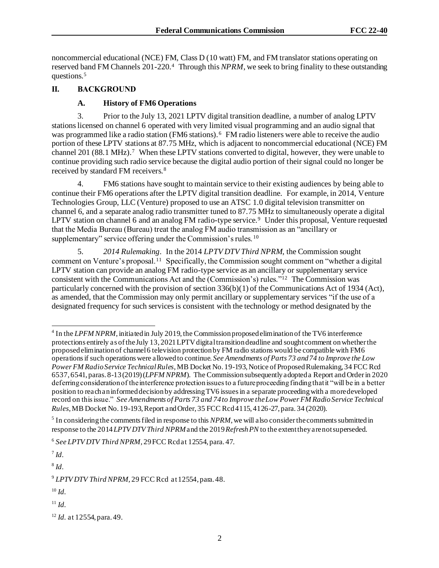noncommercial educational (NCE) FM, Class D (10 watt) FM, and FM translator stations operating on reserved band FM Channels 201-220.<sup>4</sup> Through this *NPRM*, we seek to bring finality to these outstanding questions.<sup>5</sup>

# **II. BACKGROUND**

# **A. History of FM6 Operations**

3. Prior to the July 13, 2021 LPTV digital transition deadline, a number of analog LPTV stations licensed on channel 6 operated with very limited visual programming and an audio signal that was programmed like a radio station (FM6 stations).<sup>6</sup> FM radio listeners were able to receive the audio portion of these LPTV stations at 87.75 MHz, which is adjacent to noncommercial educational (NCE) FM channel 201 (88.1 MHz).<sup>7</sup> When these LPTV stations converted to digital, however, they were unable to continue providing such radio service because the digital audio portion of their signal could no longer be received by standard FM receivers.<sup>8</sup>

4. FM6 stations have sought to maintain service to their existing audiences by being able to continue their FM6 operations after the LPTV digital transition deadline. For example, in 2014, Venture Technologies Group, LLC (Venture) proposed to use an ATSC 1.0 digital television transmitter on channel 6, and a separate analog radio transmitter tuned to 87.75 MHz to simultaneously operate a digital LPTV station on channel 6 and an analog FM radio-type service.<sup>9</sup> Under this proposal, Venture requested that the Media Bureau (Bureau) treat the analog FM audio transmission as an "ancillary or supplementary" service offering under the Commission's rules.<sup>10</sup>

5. *2014 Rulemaking*. In the 2014 *LPTV DTV Third NPRM*, the Commission sought comment on Venture's proposal.<sup>11</sup> Specifically, the Commission sought comment on "whether a digital LPTV station can provide an analog FM radio-type service as an ancillary or supplementary service consistent with the Communications Act and the (Commission's) rules."<sup>12</sup> The Commission was particularly concerned with the provision of section 336(b)(1) of the Communications Act of 1934 (Act), as amended, that the Commission may only permit ancillary or supplementary services "if the use of a designated frequency for such services is consistent with the technology or method designated by the

7 *Id.*

8 *Id.*

<sup>11</sup> *Id.*

<sup>&</sup>lt;sup>4</sup> In the *LPFM NPRM*, initiated in July 2019, the Commission proposed elimination of the TV6 interference protections entirely as of the July 13, 2021 LPTV digital transition deadline and sought comment on whether the proposed elimination of channel 6 television protection by FM radio stations would be compatible with FM6 operations if such operations were allowed to continue. *See Amendments of Parts 73 and 74 to Improve the Low Power FM Radio Service Technical Rules*, MB Docket No. 19-193, Notice of Proposed Rulemaking, 34 FCC Rcd 6537, 6541, paras. 8-13 (2019) (*LPFM NPRM*). The Commission subsequently adopted a Report and Order in 2020 deferring consideration of the interference protection issues to a future proceeding finding that it "will be in a better position to reach an informed decision by addressing TV6 issues in a separate proceeding with a more developed record on this issue." *See Amendments of Parts 73 and 74 to Improve the Low Power FM Radio Service Technical Rules*, MB Docket No. 19-193, Report and Order, 35 FCC Rcd 4115, 4126-27, para. 34 (2020).

<sup>&</sup>lt;sup>5</sup> In considering the comments filed in response to this *NPRM*, we will also consider the comments submitted in response to the 2014*LPTV DTV Third NPRM*and the 2019 *Refresh PN* to the extent they are not superseded.

<sup>6</sup> *See LPTV DTV Third NPRM*, 29 FCC Rcd at 12554, para. 47.

<sup>9</sup> *LPTV DTV Third NPRM,* 29 FCC Rcd at 12554, para. 48.

<sup>10</sup> *Id.*

<sup>12</sup> *Id.* at 12554, para. 49.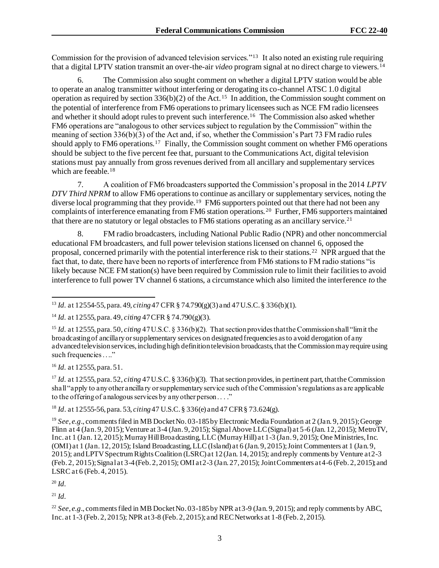Commission for the provision of advanced television services."<sup>13</sup> It also noted an existing rule requiring that a digital LPTV station transmit an over-the-air *video* program signal at no direct charge to viewers.<sup>14</sup>

6. The Commission also sought comment on whether a digital LPTV station would be able to operate an analog transmitter without interfering or derogating its co-channel ATSC 1.0 digital operation as required by section  $336(b)(2)$  of the Act.<sup>15</sup> In addition, the Commission sought comment on the potential of interference from FM6 operations to primary licensees such as NCE FM radio licensees and whether it should adopt rules to prevent such interference.<sup>16</sup> The Commission also asked whether FM6 operations are "analogous to other services subject to regulation by the Commission" within the meaning of section 336(b)(3) of the Act and, if so, whether the Commission's Part 73 FM radio rules should apply to FM6 operations.<sup>17</sup> Finally, the Commission sought comment on whether FM6 operations should be subject to the five percent fee that, pursuant to the Communications Act, digital television stations must pay annually from gross revenues derived from all ancillary and supplementary services which are feeable.<sup>18</sup>

7. A coalition of FM6 broadcasters supported the Commission's proposal in the 2014 *LPTV DTV Third NPRM* to allow FM6 operations to continue as ancillary or supplementary services, noting the diverse local programming that they provide.<sup>19</sup> FM6 supporters pointed out that there had not been any complaints of interference emanating from FM6 station operations. <sup>20</sup> Further, FM6 supporters maintained that there are no statutory or legal obstacles to FM6 stations operating as an ancillary service.<sup>21</sup>

8. FM radio broadcasters, including National Public Radio (NPR) and other noncommercial educational FM broadcasters, and full power television stations licensed on channel 6, opposed the proposal, concerned primarily with the potential interference risk to their stations.<sup>22</sup> NPR argued that the fact that, to date, there have been no reports of interference from FM6 stations to FM radio stations "is likely because NCE FM station(s) have been required by Commission rule to limit their facilities to avoid interference to full power TV channel 6 stations, a circumstance which also limited the interference *to* the

<sup>16</sup> *Id.* at 12555, para. 51.

<sup>17</sup> *Id.* at 12555, para. 52, *citing* 47 U.S.C. § 336(b)(3). That section provides, in pertinent part, that the Commission shall "apply to any other ancilla ry or supplementary service such of the Commission's regulations as are applicable to the offering of analogous services by any other person . . . ."

<sup>18</sup> *Id*. at 12555-56, para. 53, *citing*47 U.S.C. § 336(e) and 47 CFR § 73.624(g).

<sup>20</sup> *Id.*

 $^{21}$  *Id.* 

<sup>13</sup> *Id.* at 12554-55, para. 49, *citing*47 CFR § 74.790(g)(3) and 47 U.S.C. § 336(b)(1).

<sup>14</sup> *Id.* at 12555, para. 49, *citing* 47 CFR § 74.790(g)(3).

<sup>15</sup> *Id.* at 12555, para. 50, *citing* 47 U.S.C. § 336(b)(2). That section provides that the Commission shall "limit the broadcasting of ancillary or supplementary services on designated frequencies as to avoid derogation of any advanced television services, including high definition television broadcasts, that the Commission may require using such frequencies . . .."

<sup>&</sup>lt;sup>19</sup> *See*, *e.g.*, comments filed in MB Docket No. 03-185 by Electronic Media Foundation at 2 (Jan. 9, 2015); George Flinn at 4 (Jan. 9, 2015); Venture at 3-4 (Jan. 9, 2015); Signal Above LLC (Signal) at 5-6 (Jan. 12, 2015); MetroTV, Inc. at 1 (Jan. 12, 2015); Murray Hill Broadcasting, LLC (Murray Hill) at 1-3 (Jan. 9, 2015); One Ministries, Inc. (OMI) at 1 (Jan. 12, 2015); Island Broadcasting, LLC (Island) at 6 (Jan. 9, 2015); Joint Commenters at 1 (Jan. 9, 2015); and LPTV Spectrum Rights Coalition (LSRC) at 12 (Jan. 14, 2015); and reply comments by Venture at 2-3 (Feb. 2, 2015); Signal at 3-4 (Feb. 2, 2015); OMI at 2-3 (Jan. 27, 2015); Joint Commenters at 4-6 (Feb. 2, 2015); and LSRC at 6 (Feb. 4, 2015).

<sup>&</sup>lt;sup>22</sup> *See*, *e.g.*, comments filed in MB Docket No. 03-185 by NPR at 3-9 (Jan. 9, 2015); and reply comments by ABC, Inc. at 1-3 (Feb. 2, 2015); NPR at 3-8 (Feb. 2, 2015); and REC Networks at 1-8 (Feb. 2, 2015).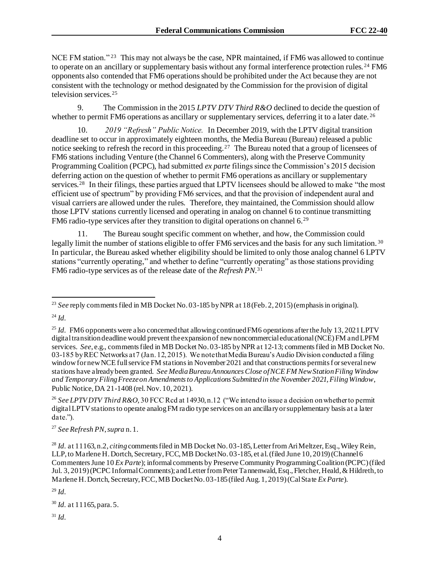NCE FM station."<sup>23</sup> This may not always be the case, NPR maintained, if FM6 was allowed to continue to operate on an ancillary or supplementary basis without any formal interference protection rules.<sup>24</sup> FM6 opponents also contended that FM6 operations should be prohibited under the Act because they are not consistent with the technology or method designated by the Commission for the provision of digital television services.<sup>25</sup>

9. The Commission in the 2015 *LPTV DTV Third R&O* declined to decide the question of whether to permit FM6 operations as ancillary or supplementary services, deferring it to a later date. <sup>26</sup>

10. *2019 "Refresh" Public Notice.* In December 2019, with the LPTV digital transition deadline set to occur in approximately eighteen months, the Media Bureau (Bureau) released a public notice seeking to refresh the record in this proceeding.<sup>27</sup> The Bureau noted that a group of licensees of FM6 stations including Venture (the Channel 6 Commenters), along with the Preserve Community Programming Coalition (PCPC), had submitted *ex parte* filings since the Commission's 2015 decision deferring action on the question of whether to permit FM6 operations as ancillary or supplementary services.<sup>28</sup> In their filings, these parties argued that LPTV licensees should be allowed to make "the most efficient use of spectrum" by providing FM6 services, and that the provision of independent aural and visual carriers are allowed under the rules. Therefore, they maintained, the Commission should allow those LPTV stations currently licensed and operating in analog on channel 6 to continue transmitting FM6 radio-type services after they transition to digital operations on channel  $6.^{29}$ 

11. The Bureau sought specific comment on whether, and how, the Commission could legally limit the number of stations eligible to offer FM6 services and the basis for any such limitation.<sup>30</sup> In particular, the Bureau asked whether eligibility should be limited to only those analog channel 6 LPTV stations "currently operating," and whether to define "currently operating" as those stations providing FM6 radio-type services as of the release date of the *Refresh PN*. 31

<sup>27</sup> *See Refresh PN*, *supra* n. 1.

<sup>&</sup>lt;sup>23</sup> *See* reply comments filed in MB Docket No. 03-185 by NPR at 18 (Feb. 2, 2015) (emphasis in original).

<sup>24</sup> *Id.*

<sup>&</sup>lt;sup>25</sup> *Id.* FM6 opponents were also concerned that allowing continued FM6 operations after the July 13, 2021 LPTV digital transition deadline would prevent the expansion of new noncommercial educational (NCE) FM and LPFM services. *See*, e.g., comments filed in MB Docket No. 03-185 by NPR at 12-13; comments filed in MB Docket No. 03-185 by REC Networks at 7 (Jan. 12, 2015). We note that Media Bureau's Audio Division conducted a filing window for new NCE full service FM stations in November 2021 and that constructions permits for several new stations have already been granted. *See Media Bureau Announces Close of NCE FM New Station Filing Window and Temporary Filing Freeze on Amendments to Applications Submitted in the November 2021, Filing Window*, Public Notice, DA 21-1408 (rel. Nov. 10, 2021).

<sup>&</sup>lt;sup>26</sup> See LPTV DTV Third R&O, 30 FCC Rcd at 14930, n.12 ("We intend to issue a decision on whether to permit digital LPTV stations to operate analog FM radio type services on an ancillary or supplementary basis at a later date.").

<sup>&</sup>lt;sup>28</sup> *Id.* at 11163, n.2, *citing* comments filed in MB Docket No. 03-185, Letter from Ari Meltzer, Esq., Wiley Rein, LLP, to Marlene H. Dortch, Secretary, FCC, MB Docket No. 03-185, et al. (filed June 10, 2019) (Channel 6 Commenters June 10 *Ex Parte*); informal comments by Preserve Community Programming Coalition (PCPC) (filed Jul. 3, 2019) (PCPC Informal Comments); and Letter from Peter Tannenwald, Esq., Fletcher, Heald, & Hildreth, to Marlene H. Dortch, Secretary, FCC, MB Docket No. 03-185 (filed Aug. 1, 2019) (Cal State *Ex Parte*).

<sup>29</sup> *Id.*

<sup>30</sup> *Id.* at 11165, para. 5.

<sup>31</sup> *Id.*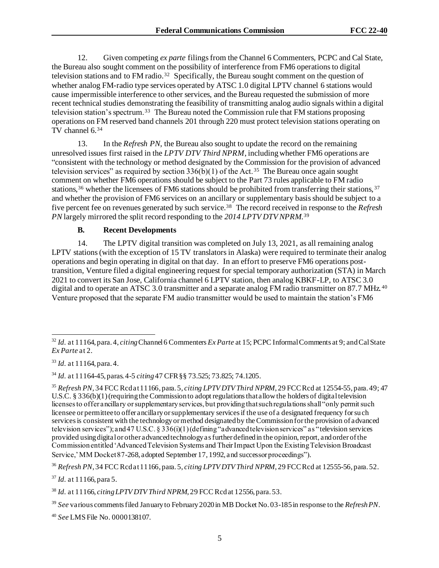12. Given competing *ex parte* filings from the Channel 6 Commenters, PCPC and Cal State, the Bureau also sought comment on the possibility of interference from FM6 operations to digital television stations and to FM radio.<sup>32</sup> Specifically, the Bureau sought comment on the question of whether analog FM-radio type services operated by ATSC 1.0 digital LPTV channel 6 stations would cause impermissible interference to other services, and the Bureau requested the submission of more recent technical studies demonstrating the feasibility of transmitting analog audio signals within a digital television station's spectrum.<sup>33</sup> The Bureau noted the Commission rule that FM stations proposing operations on FM reserved band channels 201 through 220 must protect television stations operating on TV channel 6.<sup>34</sup>

13. In the *Refresh PN*, the Bureau also sought to update the record on the remaining unresolved issues first raised in the *LPTV DTV Third NPRM*, including whether FM6 operations are "consistent with the technology or method designated by the Commission for the provision of advanced television services" as required by section  $336(b)(1)$  of the Act.<sup>35</sup> The Bureau once again sought comment on whether FM6 operations should be subject to the Part 73 rules applicable to FM radio stations,<sup>36</sup> whether the licensees of FM6 stations should be prohibited from transferring their stations, <sup>37</sup> and whether the provision of FM6 services on an ancillary or supplementary basis should be subject to a five percent fee on revenues generated by such service.<sup>38</sup> The record received in response to the *Refresh PN* largely mirrored the split record responding to the *2014 LPTV DTV NPRM*. 39

## **B. Recent Developments**

14. The LPTV digital transition was completed on July 13, 2021, as all remaining analog LPTV stations (with the exception of 15 TV translators in Alaska) were required to terminate their analog operations and begin operating in digital on that day. In an effort to preserve FM6 operations posttransition, Venture filed a digital engineering request for special temporary authorization (STA) in March 2021 to convert its San Jose, California channel 6 LPTV station, then analog KBKF-LP, to ATSC 3.0 digital and to operate an ATSC 3.0 transmitter and a separate analog FM radio transmitter on 87.7 MHz.<sup>40</sup> Venture proposed that the separate FM audio transmitter would be used to maintain the station's FM6

<sup>40</sup> *See* LMS File No. 0000138107.

<sup>32</sup> *Id.* at 11164, para. 4, *citing*Channel 6 Commenters *Ex Parte* at 15; PCPC Informal Comments at 9; and Cal State *Ex Parte* at 2.

<sup>33</sup> *Id.* at 11164, para. 4.

<sup>34</sup> *Id.* at 11164-45, paras. 4-5 *citing* 47 CFR §§ 73.525; 73.825; 74.1205.

<sup>35</sup> *Refresh PN,* 34 FCC Rcd at 11166, para. 5, *citing LPTV DTV Third NPRM*, 29 FCC Rcd at 12554-55, para. 49; 47 U.S.C. § 336(b)(1) (requiring the Commission to adopt regulations that allow the holders of digital television licenses to offer ancillary or supplementary services, but providing that such regulations shall "only permit such licensee or permittee to offer ancillary or supplementary services if the use of a designated frequency for such services is consistent with the technology or method designated by the Commission for the provision of advanced television services"); and 47 U.S.C. § 336(i)(1) (defining "advanced television services" as "television services provided using digital or other advanced technology as further defined in the opinion, report, and order of the Commission entitled 'Advanced Television Systems and Their Impact Upon the Existing Television Broadcast Service,' MM Docket 87-268, adopted September 17, 1992, and successor proceedings").

<sup>36</sup> *Refresh PN*, 34 FCC Rcd at 11166, para. 5, *citing LPTV DTV Third NPRM*, 29 FCC Rcd at 12555-56, para. 52.

<sup>37</sup> *Id.* at 11166, para 5.

<sup>38</sup> *Id.* at 11166, *citing LPTV DTV Third NPRM*, 29 FCC Rcd at 12556, para. 53.

<sup>39</sup> *See* various comments filed January to February 2020 in MB Docket No. 03-185 in response to the *Refresh PN*.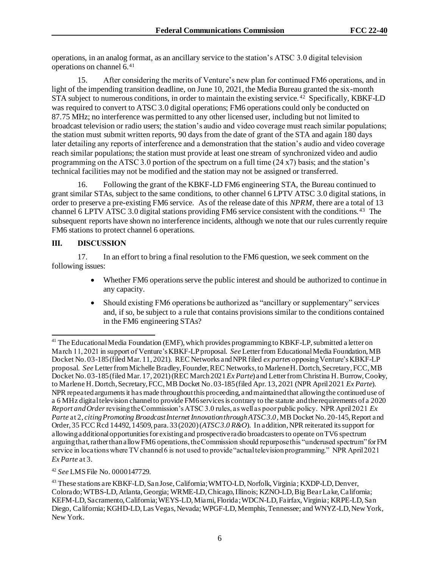operations, in an analog format, as an ancillary service to the station's ATSC 3.0 digital television operations on channel 6.<sup>41</sup>

15. After considering the merits of Venture's new plan for continued FM6 operations, and in light of the impending transition deadline, on June 10, 2021, the Media Bureau granted the six-month STA subject to numerous conditions, in order to maintain the existing service.<sup>42</sup> Specifically, KBKF-LD was required to convert to ATSC 3.0 digital operations; FM6 operations could only be conducted on 87.75 MHz; no interference was permitted to any other licensed user, including but not limited to broadcast television or radio users; the station's audio and video coverage must reach similar populations; the station must submit written reports, 90 days from the date of grant of the STA and again 180 days later detailing any reports of interference and a demonstration that the station's audio and video coverage reach similar populations; the station must provide at least one stream of synchronized video and audio programming on the ATSC 3.0 portion of the spectrum on a full time (24 x7) basis; and the station's technical facilities may not be modified and the station may not be assigned or transferred.

16. Following the grant of the KBKF-LD FM6 engineering STA, the Bureau continued to grant similar STAs, subject to the same conditions, to other channel 6 LPTV ATSC 3.0 digital stations, in order to preserve a pre-existing FM6 service. As of the release date of this *NPRM*, there are a total of 13 channel 6 LPTV ATSC 3.0 digital stations providing FM6 service consistent with the conditions.<sup>43</sup> The subsequent reports have shown no interference incidents, although we note that our rules currently require FM6 stations to protect channel 6 operations.

## **III. DISCUSSION**

17. In an effort to bring a final resolution to the FM6 question, we seek comment on the following issues:

- Whether FM6 operations serve the public interest and should be authorized to continue in any capacity.
- Should existing FM6 operations be authorized as "ancillary or supplementary" services and, if so, be subject to a rule that contains provisions similar to the conditions contained in the FM6 engineering STAs?

<sup>&</sup>lt;sup>41</sup> The Educational Media Foundation (EMF), which provides programming to KBKF-LP, submitted a letter on March 11, 2021 in support of Venture's KBKF-LP proposal. *See* Letter from Educational Media Foundation, MB Docket No. 03-185 (filed Mar. 11, 2021). REC Networks and NPR filed *ex partes* opposing Venture's KBKF-LP proposal. *See* Letter from Michelle Bradley, Founder, REC Networks, to Marlene H. Dortch, Secretary, FCC, MB Docket No. 03-185 (filed Mar. 17, 2021) (REC March 2021 *Ex Parte*) and Letter from Christina H. Burrow, Cooley, to Marlene H. Dortch, Secretary, FCC, MB Docket No. 03-185 (filed Apr. 13, 2021 (NPR April 2021 *Ex Parte*). NPR repeated arguments it has made throughout this proceeding, and maintained that allowing the continued use of a 6 MHz digital television channel to provide FM6 services is contrary to the statute and the requirements of a 2020 *Report and Order*revising the Commission's ATSC 3.0 rules, as well as poor public policy. NPR April 2021 *Ex Parte* at 2, *citing Promoting Broadcast Internet Innovation through ATSC 3.0*, MB Docket No. 20-145, Report and Order, 35 FCC Rcd 14492, 14509, para. 33 (2020) (*ATSC 3.0 R&O*). In addition, NPR reiterated its support for allowing additional opportunities for existing and prospective radio broadcasters to operate on TV6 spectrum arguing that, rather than allow FM6 operations, the Commission should repurpose this "underused spectrum" for FM service in locations where TV channel 6 is not used to provide "actual television programming." NPR April 2021 *Ex Parte* at 3.

<sup>42</sup> *See* LMS File No. 0000147729.

<sup>43</sup> These stations are KBKF-LD, San Jose, California; WMTO-LD, Norfolk, Virginia; KXDP-LD, Denver, Colorado; WTBS-LD, Atlanta, Georgia; WRME-LD, Chicago, Illinois; KZNO-LD, Big Bear Lake, California; KEFM-LD, Sacramento, California; WEYS-LD, Miami, Florida; WDCN-LD, Fairfax, Virginia; KRPE-LD, San Diego, California; KGHD-LD, Las Vegas, Nevada; WPGF-LD, Memphis, Tennessee; and WNYZ-LD, New York, New York.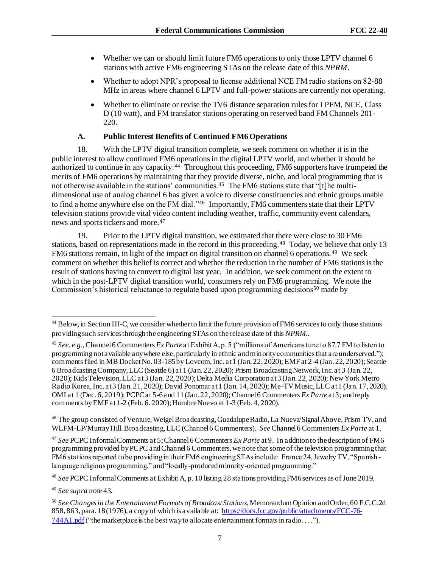- Whether we can or should limit future FM6 operations to only those LPTV channel 6 stations with active FM6 engineering STAs on the release date of this *NPRM*.
- Whether to adopt NPR's proposal to license additional NCE FM radio stations on 82-88 MHz in areas where channel 6 LPTV and full-power stations are currently not operating.
- Whether to eliminate or revise the TV6 distance separation rules for LPFM, NCE, Class D (10 watt), and FM translator stations operating on reserved band FM Channels 201- 220.

# **A. Public Interest Benefits of Continued FM6 Operations**

18. With the LPTV digital transition complete, we seek comment on whether it is in the public interest to allow continued FM6 operations in the digital LPTV world, and whether it should be authorized to continue in any capacity.<sup>44</sup> Throughout this proceeding, FM6 supporters have trumpeted the merits of FM6 operations by maintaining that they provide diverse, niche, and local programming that is not otherwise available in the stations' communities.<sup>45</sup> The FM6 stations state that "[t]he multidimensional use of analog channel 6 has given a voice to diverse constituencies and ethnic groups unable to find a home anywhere else on the FM dial."<sup>46</sup> Importantly, FM6 commenters state that their LPTV television stations provide vital video content including weather, traffic, community event calendars, news and sports tickers and more.<sup>47</sup>

19. Prior to the LPTV digital transition, we estimated that there were close to 30 FM6 stations, based on representations made in the record in this proceeding.<sup>48</sup> Today, we believe that only 13 FM6 stations remain, in light of the impact on digital transition on channel 6 operations.<sup>49</sup> We seek comment on whether this belief is correct and whether the reduction in the number of FM6 stations is the result of stations having to convert to digital last year. In addition, we seek comment on the extent to which in the post-LPTV digital transition world, consumers rely on FM6 programming. We note the Commission's historical reluctance to regulate based upon programming decisions<sup>50</sup> made by

<sup>46</sup> The group consisted of Venture, Weigel Broadcasting, Guadalupe Radio, La Nueva/Signal Above, Prism TV, and WLFM-LP/Murray Hill. Broadcasting, LLC (Channel 6 Commenters). *See* Channel 6 Commenters *Ex Parte* at 1.

<sup>47</sup> *See* PCPC Informal Comments at 5; Channel 6 Commenters *Ex Parte* at 9. In addition to the description of FM6 programming provided by PCPC and Channel 6 Commenters, we note that some of the television programming that FM6 stations reported to be providing in their FM6 engineering STAs include: France 24, Jewelry TV, "Spanish language religious programming," and "locally-produced minority-oriented programming."

<sup>48</sup> *See* PCPC Informal Comments at Exhibit A, p. 10 listing 28 stations providing FM6 services as of June 2019.

<sup>49</sup> *See supra* note 43.

<sup>&</sup>lt;sup>44</sup> Below, in Section III-C, we consider whether to limit the future provision of FM6 services to only those stations providing such services through the engineering STAs on the release date of this *NPRM.*.

<sup>45</sup> *See, e.g*., Channel 6 Commenters *Ex Parte*at Exhibit A, p. 5 ("millions of Americans tune to 87.7 FM to listen to programming not available anywhere else, particularly in ethnic and minority communities that are underserved."); comments filed in MB Docket No. 03-185 by Lovcom, Inc. at 1 (Jan. 22, 2020); EMF at 2-4 (Jan. 22, 2020); Seattle 6 Broadcasting Company, LLC (Seattle 6) at 1 (Jan. 22, 2020); Prism Broadcasting Network, Inc. at 3 (Jan. 22, 2020); Kids Television, LLC at 3 (Jan. 22, 2020); Delta Media Corporation at 3 (Jan. 22, 2020); New York Metro Radio Korea, Inc. at 3 (Jan. 21, 2020); David Ponomar at 1 (Jan. 14, 2020); Me-TV Music, LLC at 1 (Jan. 17, 2020); OMI at 1 (Dec. 6, 2019); PCPC at 5-6 and 11 (Jan. 22, 2020); Channel 6 Commenters *Ex Parte* at 3; and reply comments by EMF at 1-2 (Feb. 6. 2020); Hombre Nuevo at 1-3 (Feb. 4, 2020).

<sup>50</sup> *See Changes in the Entertainment Formats of Broadcast Stations*, Memorandum Opinion and Order, 60 F.C.C.2d 858, 863, para. 18 (1976), a copy of which is a vailable at: [https://docs.fcc.gov/public/attachments/FCC-76-](https://docs.fcc.gov/public/attachments/FCC-76-744A1.pdf) [744A1.pdf](https://docs.fcc.gov/public/attachments/FCC-76-744A1.pdf)("the marketplace is the best way to allocate entertainment formats in radio. . . .").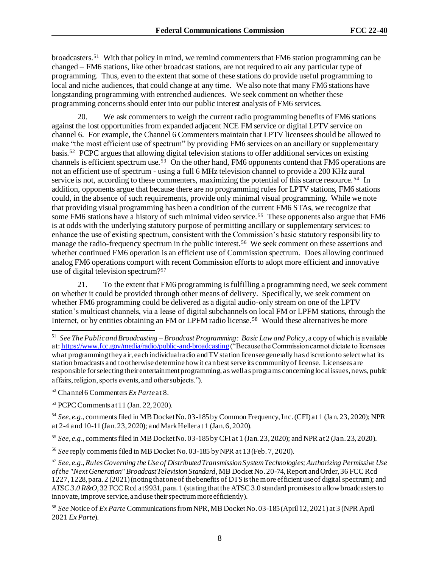broadcasters.<sup>51</sup> With that policy in mind, we remind commenters that FM6 station programming can be changed – FM6 stations, like other broadcast stations, are not required to air any particular type of programming. Thus, even to the extent that some of these stations do provide useful programming to local and niche audiences, that could change at any time. We also note that many FM6 stations have longstanding programming with entrenched audiences. We seek comment on whether these programming concerns should enter into our public interest analysis of FM6 services.

20. We ask commenters to weigh the current radio programming benefits of FM6 stations against the lost opportunities from expanded adjacent NCE FM service or digital LPTV service on channel 6. For example, the Channel 6 Commenters maintain that LPTV licensees should be allowed to make "the most efficient use of spectrum" by providing FM6 services on an ancillary or supplementary basis.<sup>52</sup> PCPC argues that allowing digital television stations to offer additional services on existing channels is efficient spectrum use.<sup>53</sup> On the other hand, FM6 opponents contend that FM6 operations are not an efficient use of spectrum - using a full 6 MHz television channel to provide a 200 KHz aural service is not, according to these commenters, maximizing the potential of this scarce resource.<sup>54</sup> In addition, opponents argue that because there are no programming rules for LPTV stations, FM6 stations could, in the absence of such requirements, provide only minimal visual programming. While we note that providing visual programming has been a condition of the current FM6 STAs, we recognize that some FM6 stations have a history of such minimal video service.<sup>55</sup> These opponents also argue that FM6 is at odds with the underlying statutory purpose of permitting ancillary or supplementary services: to enhance the use of existing spectrum, consistent with the Commission's basic statutory responsibility to manage the radio-frequency spectrum in the public interest.<sup>56</sup> We seek comment on these assertions and whether continued FM6 operation is an efficient use of Commission spectrum. Does allowing continued analog FM6 operations comport with recent Commission efforts to adopt more efficient and innovative use of digital television spectrum?<sup>57</sup>

21. To the extent that FM6 programming is fulfilling a programming need, we seek comment on whether it could be provided through other means of delivery. Specifically, we seek comment on whether FM6 programming could be delivered as a digital audio-only stream on one of the LPTV station's multicast channels, via a lease of digital subchannels on local FM or LPFM stations, through the Internet, or by entities obtaining an FM or LPFM radio license.<sup>58</sup> Would these alternatives be more

<sup>54</sup> *See*, *e.g*., comments filed in MB Docket No. 03-185 by Common Frequency, Inc. (CFI) at 1 (Jan. 23, 2020); NPR at 2-4 and 10-11 (Jan. 23, 2020); and Mark Heller at 1 (Jan. 6, 2020).

<sup>55</sup> *See*, *e.g*., comments filed in MB Docket No. 03-185 by CFI at 1 (Jan. 23, 2020); and NPR at 2 (Jan. 23, 2020).

<sup>56</sup> *See* reply comments filed in MB Docket No. 03-185 by NPR at 13 (Feb. 7, 2020).

<sup>57</sup> *See*, *e.g*., *Rules Governing the Use of Distributed Transmission System Technologies; Authorizing Permissive Use of the "Next Generation" Broadcast Television Standard*, MB Docket No. 20-74, Report and Order, 36 FCC Rcd 1227, 1228, para. 2 (2021) (noting that one of the benefits of DTS is the more efficient use of digital spectrum); and *ATSC 3.0 R&O*, 32 FCC Rcd at 9931, para. 1 (stating that the ATSC 3.0 standard promises to allow broadcasters to innovate, improve service, and use their spectrum more efficiently).

<sup>58</sup> *See* Notice of *Ex Parte* Communications from NPR, MB DocketNo. 03-185 (April 12, 2021) at 3 (NPR April 2021 *Ex Parte*).

<sup>51</sup> *See The Public and Broadcasting – Broadcast Programming: Basic Law and Policy*, a copy of which is available at[: https://www.fcc.gov/media/radio/public-and-broadcasting](https://www.fcc.gov/media/radio/public-and-broadcasting)("Because the Commission cannot dictate to licensees what programming they air, each individual radio and TV station licensee generally has discretion to select what its station broadcasts and to otherwise determine how it can best serve its community of license. Licensees are responsible for selecting their entertainment programming, as well as programs concerning local issues, news, public affairs, religion, sports events, and other subjects.").

<sup>52</sup> Channel 6 Commenters *Ex Parte*at 8.

<sup>53</sup> PCPC Comments at 11 (Jan. 22, 2020).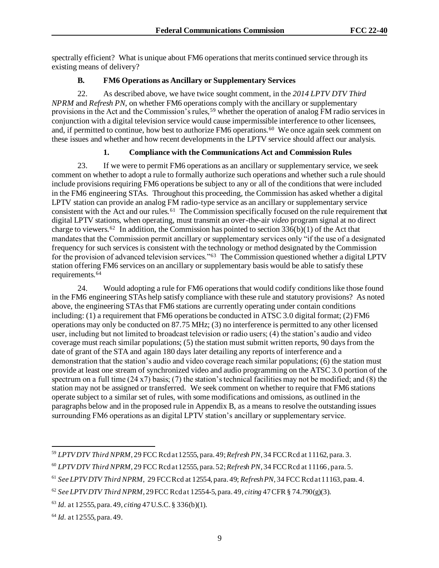spectrally efficient? What is unique about FM6 operations that merits continued service through its existing means of delivery?

#### **B. FM6 Operations as Ancillary or Supplementary Services**

22. As described above, we have twice sought comment, in the *2014 LPTV DTV Third NPRM* and *Refresh PN*, on whether FM6 operations comply with the ancillary or supplementary provisions in the Act and the Commission's rules,<sup>59</sup> whether the operation of analog FM radio services in conjunction with a digital television service would cause impermissible interference to other licensees, and, if permitted to continue, how best to authorize FM6 operations.<sup>60</sup> We once again seek comment on these issues and whether and how recent developments in the LPTV service should affect our analysis.

## **1. Compliance with the Communications Act and Commission Rules**

23. If we were to permit FM6 operations as an ancillary or supplementary service, we seek comment on whether to adopt a rule to formally authorize such operations and whether such a rule should include provisions requiring FM6 operations be subject to any or all of the conditions that were included in the FM6 engineering STAs. Throughout this proceeding, the Commission has asked whether a digital LPTV station can provide an analog FM radio-type service as an ancillary or supplementary service consistent with the Act and our rules.<sup>61</sup> The Commission specifically focused on the rule requirement that digital LPTV stations, when operating, must transmit an over-the-air *video* program signal at no direct charge to viewers.<sup>62</sup> In addition, the Commission has pointed to section  $336(b)(1)$  of the Act that mandates that the Commission permit ancillary or supplementary services only "if the use of a designated frequency for such services is consistent with the technology or method designated by the Commission for the provision of advanced television services."<sup>63</sup> The Commission questioned whether a digital LPTV station offering FM6 services on an ancillary or supplementary basis would be able to satisfy these requirements.<sup>64</sup>

24. Would adopting a rule for FM6 operations that would codify conditions like those found in the FM6 engineering STAs help satisfy compliance with these rule and statutory provisions? As noted above, the engineering STAs that FM6 stations are currently operating under contain conditions including: (1) a requirement that FM6 operations be conducted in ATSC 3.0 digital format; (2) FM6 operations may only be conducted on 87.75 MHz; (3) no interference is permitted to any other licensed user, including but not limited to broadcast television or radio users; (4) the station's audio and video coverage must reach similar populations; (5) the station must submit written reports, 90 days from the date of grant of the STA and again 180 days later detailing any reports of interference and a demonstration that the station's audio and video coverage reach similar populations; (6) the station must provide at least one stream of synchronized video and audio programming on the ATSC 3.0 portion of the spectrum on a full time (24 x7) basis; (7) the station's technical facilities may not be modified; and (8) the station may not be assigned or transferred. We seek comment on whether to require that FM6 stations operate subject to a similar set of rules, with some modifications and omissions, as outlined in the paragraphs below and in the proposed rule in Appendix B, as a means to resolve the outstanding issues surrounding FM6 operations as an digital LPTV station's ancillary or supplementary service.

<sup>59</sup> *LPTV DTV Third NPRM*, 29 FCC Rcd at 12555, para. 49; *Refresh PN*, 34 FCC Rcd at 11162, para. 3.

<sup>60</sup> *LPTV DTV Third NPRM*, 29 FCC Rcd at 12555, para. 52; *Refresh PN*, 34 FCC Rcd at 11166 , para. 5.

<sup>61</sup> *See LPTV DTV Third NPRM*, 29 FCC Rcd at 12554, para. 49; *Refresh PN,* 34 FCC Rcd at 11163, para. 4.

<sup>62</sup> *See LPTV DTV Third NPRM*, 29 FCC Rcd at 12554-5, para. 49, *citing* 47 CFR § 74.790(g)(3).

<sup>63</sup> *Id.* at 12555, para. 49, *citing* 47 U.S.C. § 336(b)(1).

<sup>64</sup> *Id.* at 12555, para. 49.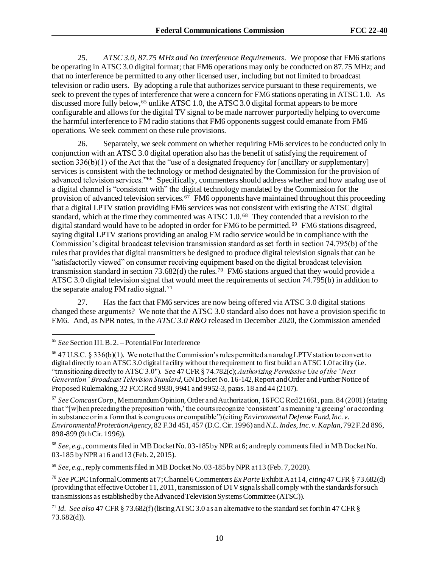25. *ATSC 3.0, 87.75 MHz and No Interference Requirements*. We propose that FM6 stations be operating in ATSC 3.0 digital format; that FM6 operations may only be conducted on 87.75 MHz; and that no interference be permitted to any other licensed user, including but not limited to broadcast television or radio users. By adopting a rule that authorizes service pursuant to these requirements, we seek to prevent the types of interference that were a concern for FM6 stations operating in ATSC 1.0. As discussed more fully below,<sup>65</sup> unlike ATSC 1.0, the ATSC 3.0 digital format appears to be more configurable and allows for the digital TV signal to be made narrower purportedly helping to overcome the harmful interference to FM radio stations that FM6 opponents suggest could emanate from FM6 operations. We seek comment on these rule provisions.

26. Separately, we seek comment on whether requiring FM6 services to be conducted only in conjunction with an ATSC 3.0 digital operation also has the benefit of satisfying the requirement of section  $336(b)(1)$  of the Act that the "use of a designated frequency for [ancillary or supplementary] services is consistent with the technology or method designated by the Commission for the provision of advanced television services."<sup>66</sup> Specifically, commenters should address whether and how analog use of a digital channel is "consistent with" the digital technology mandated by the Commission for the provision of advanced television services.<sup>67</sup> FM6 opponents have maintained throughout this proceeding that a digital LPTV station providing FM6 services was not consistent with existing the ATSC digital standard, which at the time they commented was ATSC 1.0.<sup>68</sup> They contended that a revision to the digital standard would have to be adopted in order for FM6 to be permitted.<sup>69</sup> FM6 stations disagreed, saying digital LPTV stations providing an analog FM radio service would be in compliance with the Commission's digital broadcast television transmission standard as set forth in section 74.795(b) of the rules that provides that digital transmitters be designed to produce digital television signals that can be "satisfactorily viewed" on consumer receiving equipment based on the digital broadcast television transmission standard in section  $73.682(d)$  the rules.<sup>70</sup> FM6 stations argued that they would provide a ATSC 3.0 digital television signal that would meet the requirements of section 74.795(b) in addition to the separate analog FM radio signal.<sup>71</sup>

27. Has the fact that FM6 services are now being offered via ATSC 3.0 digital stations changed these arguments? We note that the ATSC 3.0 standard also does not have a provision specific to FM6. And, as NPR notes, in the *ATSC 3.0 R&O* released in December 2020, the Commission amended

<sup>67</sup> *See Comcast Corp*., Memorandum Opinion, Order and Authorization, 16 FCC Rcd 21661, para. 84 (2001) (stating that "[w]hen preceding the preposition 'with,' the courts recognize 'consistent' as meaning 'agreeing' or according in substance or in a form that is congruous or compatible") (citing *Environmental Defense Fund, Inc. v. Environmental Protection Agency*, 82 F.3d 451, 457 (D.C. Cir. 1996) and*N.L. Indes, Inc. v. Kaplan*, 792 F.2d 896, 898-899 (9thCir. 1996)).

<sup>68</sup> *See*, *e.g*., comments filed in MB Docket No. 03-185 by NPR at 6; and reply comments filed in MB Docket No. 03-185 by NPR at 6 and 13 (Feb. 2, 2015).

<sup>69</sup> *See*, *e.g*., reply comments filed in MB Docket No. 03-185 by NPR at 13 (Feb. 7, 2020).

<sup>70</sup> *See* PCPC Informal Comments at 7; Channel 6 Commenters *Ex Parte* Exhibit A at 14, *citing*47 CFR § 73.682(d) (providing that effective October 11, 2011, transmission of DTV signals shall comply with the standards for such transmissions as established by the Advanced Television Systems Committee (ATSC)).

<sup>65</sup> *See* Section III. B. 2. – Potential For Interference

<sup>66</sup> 47 U.S.C. § 336(b)(1). We note that the Commission's rules permitted an analog LPTV station to convert to digital directly to an ATSC 3.0 digital facility without the requirement to first build an ATSC 1.0 facility (i.e. "transitioning directly to ATSC 3.0"). *See* 47 CFR § 74.782(c); *Authorizing Permissive Use of the "Next Generation" Broadcast Television Standard*, GN Docket No. 16-142, Report and Order and Further Notice of Proposed Rulemaking, 32 FCC Rcd 9930, 9941 and 9952-3, paras. 18 and 44 (2107).

<sup>71</sup> *Id. See also* 47 CFR § 73.682(f) (listing ATSC 3.0 as an alternative to the standard set forth in 47 CFR § 73.682(d)).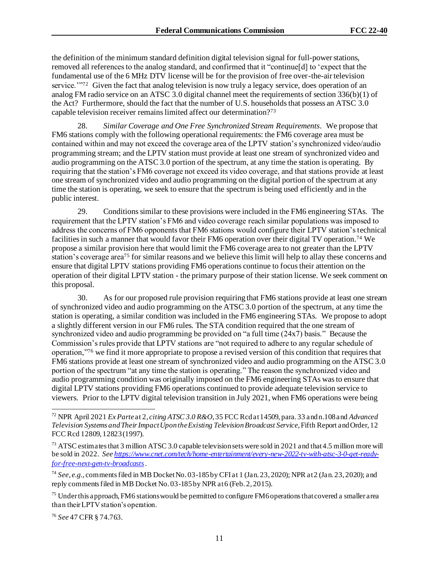the definition of the minimum standard definition digital television signal for full-power stations, removed all references to the analog standard, and confirmed that it "continue[d] to 'expect that the fundamental use of the 6 MHz DTV license will be for the provision of free over-the-air television service.<sup>'"72</sup> Given the fact that analog television is now truly a legacy service, does operation of an analog FM radio service on an ATSC 3.0 digital channel meet the requirements of section 336(b)(1) of the Act? Furthermore, should the fact that the number of U.S. households that possess an ATSC 3.0 capable television receiver remains limited affect our determination?<sup>73</sup>

28. *Similar Coverage and One Free Synchronized Stream Requirements*. We propose that FM6 stations comply with the following operational requirements: the FM6 coverage area must be contained within and may not exceed the coverage area of the LPTV station's synchronized video/audio programming stream; and the LPTV station must provide at least one stream of synchronized video and audio programming on the ATSC 3.0 portion of the spectrum, at any time the station is operating. By requiring that the station's FM6 coverage not exceed its video coverage, and that stations provide at least one stream of synchronized video and audio programming on the digital portion of the spectrum at any time the station is operating, we seek to ensure that the spectrum is being used efficiently and in the public interest.

29. Conditions similar to these provisions were included in the FM6 engineering STAs. The requirement that the LPTV station's FM6 and video coverage reach similar populations was imposed to address the concerns of FM6 opponents that FM6 stations would configure their LPTV station's technical facilities in such a manner that would favor their FM6 operation over their digital TV operation.<sup>74</sup> We propose a similar provision here that would limit the FM6 coverage area to not greater than the LPTV station's coverage area<sup>75</sup> for similar reasons and we believe this limit will help to allay these concerns and ensure that digital LPTV stations providing FM6 operations continue to focus their attention on the operation of their digital LPTV station - the primary purpose of their station license. We seek comment on this proposal.

30. As for our proposed rule provision requiring that FM6 stations provide at least one stream of synchronized video and audio programming on the ATSC 3.0 portion of the spectrum, at any time the station is operating, a similar condition was included in the FM6 engineering STAs. We propose to adopt a slightly different version in our FM6 rules. The STA condition required that the one stream of synchronized video and audio programming be provided on "a full time (24x7) basis." Because the Commission's rules provide that LPTV stations are "not required to adhere to any regular schedule of operation,"<sup>76</sup> we find it more appropriate to propose a revised version of this condition that requires that FM6 stations provide at least one stream of synchronized video and audio programming on the ATSC 3.0 portion of the spectrum "at any time the station is operating." The reason the synchronized video and audio programming condition was originally imposed on the FM6 engineering STAs was to ensure that digital LPTV stations providing FM6 operations continued to provide adequate television service to viewers. Prior to the LPTV digital television transition in July 2021, when FM6 operations were being

<sup>76</sup> *See* 47 CFR § 74.763.

<sup>72</sup> NPR April 2021 *Ex Parte*at 2, *citing ATSC 3.0 R&O*, 35 FCC Rcd at 14509, para. 33 and n.108 and *Advanced Television Systems and Their Impact Upon the Existing Television Broadcast Service*, Fifth Report and Order, 12 FCC Rcd 12809, 12823 (1997).

<sup>&</sup>lt;sup>73</sup> ATSC estimates that 3 million ATSC 3.0 capable television sets were sold in 2021 and that 4.5 million more will be sold in 2022. *Se[e https://www.cnet.com/tech/home-entertainment/every-new-2022-tv-with-atsc-3-0-get-ready](https://www.cnet.com/tech/home-entertainment/every-new-2022-tv-with-atsc-3-0-get-ready-for-free-next-gen-tv-broadcasts)[for-free-next-gen-tv-broadcasts](https://www.cnet.com/tech/home-entertainment/every-new-2022-tv-with-atsc-3-0-get-ready-for-free-next-gen-tv-broadcasts).*

<sup>74</sup> *See*, *e.g.,* comments filed in MB Docket No. 03-185 by CFI at 1 (Jan. 23, 2020); NPR at 2 (Jan. 23, 2020); and reply comments filed in MB Docket No. 03-185 by NPR at 6 (Feb. 2, 2015).

<sup>&</sup>lt;sup>75</sup> Under this approach, FM6 stations would be permitted to configure FM6 operations that covered a smaller area than their LPTV station's operation.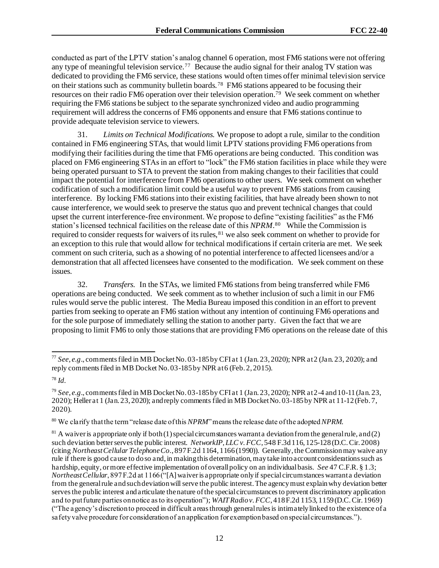conducted as part of the LPTV station's analog channel 6 operation, most FM6 stations were not offering any type of meaningful television service.<sup>77</sup> Because the audio signal for their analog TV station was dedicated to providing the FM6 service, these stations would often times offer minimal television service on their stations such as community bulletin boards.<sup>78</sup> FM6 stations appeared to be focusing their resources on their radio FM6 operation over their television operation.<sup>79</sup> We seek comment on whether requiring the FM6 stations be subject to the separate synchronized video and audio programming requirement will address the concerns of FM6 opponents and ensure that FM6 stations continue to provide adequate television service to viewers.

31. *Limits on Technical Modifications.* We propose to adopt a rule, similar to the condition contained in FM6 engineering STAs, that would limit LPTV stations providing FM6 operations from modifying their facilities during the time that FM6 operations are being conducted. This condition was placed on FM6 engineering STAs in an effort to "lock" the FM6 station facilities in place while they were being operated pursuant to STA to prevent the station from making changes to their facilities that could impact the potential for interference from FM6 operations to other users. We seek comment on whether codification of such a modification limit could be a useful way to prevent FM6 stations from causing interference. By locking FM6 stations into their existing facilities, that have already been shown to not cause interference, we would seek to preserve the status quo and prevent technical changes that could upset the current interference-free environment. We propose to define "existing facilities" as the FM6 station's licensed technical facilities on the release date of this *NPRM*. 80 While the Commission is required to consider requests for waivers of its rules, <sup>81</sup> we also seek comment on whether to provide for an exception to this rule that would allow for technical modifications if certain criteria are met. We seek comment on such criteria, such as a showing of no potential interference to affected licensees and/or a demonstration that all affected licensees have consented to the modification. We seek comment on these issues.

32. *Transfers*. In the STAs, we limited FM6 stations from being transferred while FM6 operations are being conducted. We seek comment as to whether inclusion of such a limit in our FM6 rules would serve the public interest. The Media Bureau imposed this condition in an effort to prevent parties from seeking to operate an FM6 station without any intention of continuing FM6 operations and for the sole purpose of immediately selling the station to another party. Given the fact that we are proposing to limit FM6 to only those stations that are providing FM6 operations on the release date of this

<sup>77</sup> *See, e.g*., comments filed in MB Docket No. 03-185 by CFI at 1 (Jan. 23, 2020); NPR at 2 (Jan. 23, 2020); and reply comments filed in MB Docket No. 03-185 by NPR at 6 (Feb. 2, 2015).

<sup>78</sup> *Id.*

<sup>79</sup> *See*, *e.g*., comments filed in MB Docket No. 03-185 by CFI at 1 (Jan. 23, 2020); NPR at 2-4 and 10-11 (Jan. 23, 2020); Heller at 1 (Jan. 23, 2020); and reply comments filed in MB Docket No. 03-185 by NPR at 11-12 (Feb. 7, 2020).

<sup>80</sup> We clarify that the term "release date of this *NPRM*" means the release date of the adopted *NPRM*.

 $81$  A waiver is appropriate only if both (1) special circum stances warrant a deviation from the general rule, and (2) such deviation better serves the public interest. *NetworkIP, LLC v. FCC*, 548 F.3d 116, 125-128 (D.C. Cir. 2008) (citing *Northeast Cellular Telephone Co.*, 897 F.2d 1164, 1166 (1990)). Generally, the Commission may waive any rule if there is good cause to do so and, in making this determination, may take into account considerations such as hardship, equity, or more effective implementation of overall policy on an individual basis. *See* [47 C.F.R. § 1.3](https://1.next.westlaw.com/Link/Document/FullText?findType=L&pubNum=1000547&cite=47CFRS1.3&originatingDoc=I951a1b81b05011dba10be1078cee05f1&refType=LQ&originationContext=document&transitionType=DocumentItem&ppcid=fd10b7893a5c465f8de6a4c6610bb52a&contextData=(sc.Search)); *Northeast Cellular*, 897 F.2d at 1166 ("[A] waiver is appropriate only if special circumstances warrant a deviation from the general rule and such deviation will serve the public interest. The agency must explain why deviation better serves the public interest and articulate the nature of the special circumstances to prevent discriminatory application and to put future parties on notice as to its operation"); *WAIT Radio v. FCC*, 418 F.2d 1153, 1159 (D.C. Cir. 1969) ("The agency's discretion to proceed in difficult areas through general rules is intimately linked to the existence of a safety valve procedure for consideration of an application for exemption based on special circumstances.").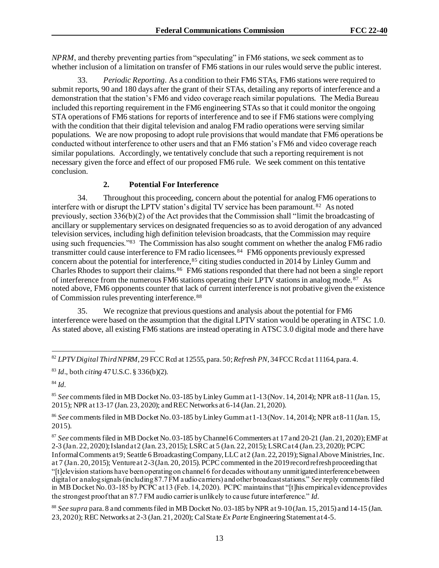*NPRM*, and thereby preventing parties from "speculating" in FM6 stations, we seek comment as to whether inclusion of a limitation on transfer of FM6 stations in our rules would serve the public interest.

33. *Periodic Reporting*. As a condition to their FM6 STAs, FM6 stations were required to submit reports, 90 and 180 days after the grant of their STAs, detailing any reports of interference and a demonstration that the station's FM6 and video coverage reach similar populations. The Media Bureau included this reporting requirement in the FM6 engineering STAs so that it could monitor the ongoing STA operations of FM6 stations for reports of interference and to see if FM6 stations were complying with the condition that their digital television and analog FM radio operations were serving similar populations. We are now proposing to adopt rule provisions that would mandate that FM6 operations be conducted without interference to other users and that an FM6 station's FM6 and video coverage reach similar populations. Accordingly, we tentatively conclude that such a reporting requirement is not necessary given the force and effect of our proposed FM6 rule. We seek comment on this tentative conclusion.

## **2. Potential For Interference**

34. Throughout this proceeding, concern about the potential for analog FM6 operations to interfere with or disrupt the LPTV station's digital TV service has been paramount.<sup>82</sup> As noted previously, section 336(b)(2) of the Act provides that the Commission shall "limit the broadcasting of ancillary or supplementary services on designated frequencies so as to avoid derogation of any advanced television services, including high definition television broadcasts, that the Commission may require using such frequencies."<sup>83</sup> The Commission has also sought comment on whether the analog FM6 radio transmitter could cause interference to FM radio licensees.<sup>84</sup> FM6 opponents previously expressed concern about the potential for interference,  $85$  citing studies conducted in 2014 by Linley Gumm and Charles Rhodes to support their claims.<sup>86</sup> FM6 stations responded that there had not been a single report of interference from the numerous FM6 stations operating their LPTV stations in analog mode.<sup>87</sup> As noted above, FM6 opponents counter that lack of current interference is not probative given the existence of Commission rules preventing interference.<sup>88</sup>

35. We recognize that previous questions and analysis about the potential for FM6 interference were based on the assumption that the digital LPTV station would be operating in ATSC 1.0. As stated above, all existing FM6 stations are instead operating in ATSC 3.0 digital mode and there have

<sup>85</sup> *See* comments filed in MB Docket No. 03-185 by Linley Gumm at 1-13 (Nov. 14, 2014); NPR at 8-11 (Jan. 15, 2015); NPR at 13-17 (Jan. 23, 2020); and REC Networks at 6-14 (Jan. 21, 2020).

<sup>86</sup> *See* comments filed in MB Docket No. 03-185 by Linley Gumm at 1-13 (Nov. 14, 2014); NPR at 8-11 (Jan. 15, 2015).

<sup>87</sup> *See* comments filed in MB Docket No. 03-185 by Channel 6 Commenters at 17 and 20-21 (Jan. 21, 2020); EMF at 2-3 (Jan. 22, 2020); Island at 2 (Jan. 23, 2015); LSRC at 5 (Jan. 22, 2015); LSRC at 4 (Jan. 23, 2020); PCPC Informal Comments at 9; Seattle 6 Broadcasting Company, LLC at 2 (Jan. 22, 2019); Signal Above Ministries, Inc. at 7 (Jan. 20, 2015); Venture at 2-3 (Jan. 20, 2015). PCPC commented in the 2019 record refresh proceeding that "[t]elevision stations have been operating on channel 6 for decades without any unmitigated interference between digital or analog signals (including 87.7 FM audio carriers) and other broadcast stations." *See* reply comments filed in MB Docket No. 03-185 by PCPC at 13 (Feb. 14, 2020). PCPC maintains that "[t]his empirical evidence provides the strongest proof that an 87.7 FM audio carrier is unlikely to cause future interference." *Id.*

<sup>88</sup> *See supra* para. 8 and comments filed in MB Docket No. 03-185 by NPR at 9-10 (Jan. 15, 2015) and 14-15 (Jan. 23, 2020); REC Networks at 2-3 (Jan. 21, 2020); Cal State *Ex Parte* Engineering Statement at 4-5.

<sup>82</sup> *LPTV Digital Third NPRM*, 29 FCC Rcd at 12555, para. 50; *Refresh PN*, 34 FCC Rcd at 11164, para. 4.

<sup>83</sup> *Id*., both *citing* 47 U.S.C. § 336(b)(2).

<sup>84</sup> *Id.*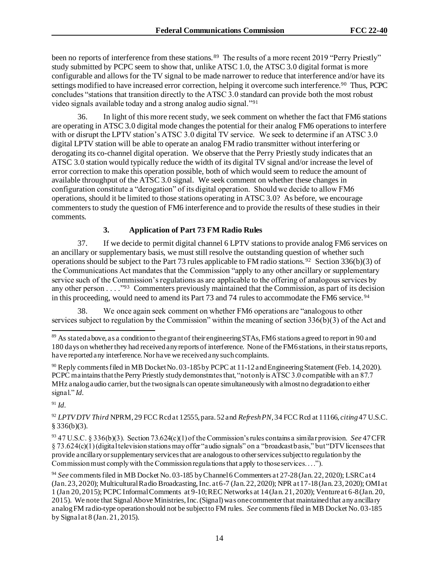been no reports of interference from these stations. <sup>89</sup> The results of a more recent 2019 "Perry Priestly" study submitted by PCPC seem to show that, unlike ATSC 1.0, the ATSC 3.0 digital format is more configurable and allows for the TV signal to be made narrower to reduce that interference and/or have its settings modified to have increased error correction, helping it overcome such interference.<sup>90</sup> Thus, PCPC concludes "stations that transition directly to the ATSC 3.0 standard can provide both the most robust video signals available today and a strong analog audio signal."<sup>91</sup>

36. In light of this more recent study, we seek comment on whether the fact that FM6 stations are operating in ATSC 3.0 digital mode changes the potential for their analog FM6 operations to interfere with or disrupt the LPTV station's ATSC 3.0 digital TV service. We seek to determine if an ATSC 3.0 digital LPTV station will be able to operate an analog FM radio transmitter without interfering or derogating its co-channel digital operation. We observe that the Perry Priestly study indicates that an ATSC 3.0 station would typically reduce the width of its digital TV signal and/or increase the level of error correction to make this operation possible, both of which would seem to reduce the amount of available throughput of the ATSC 3.0 signal. We seek comment on whether these changes in configuration constitute a "derogation" of its digital operation. Should we decide to allow FM6 operations, should it be limited to those stations operating in ATSC 3.0? As before, we encourage commenters to study the question of FM6 interference and to provide the results of these studies in their comments.

# **3. Application of Part 73 FM Radio Rules**

37. If we decide to permit digital channel 6 LPTV stations to provide analog FM6 services on an ancillary or supplementary basis, we must still resolve the outstanding question of whether such operations should be subject to the Part 73 rules applicable to FM radio stations. <sup>92</sup> Section 336(b)(3) of the Communications Act mandates that the Commission "apply to any other ancillary or supplementary service such of the Commission's regulations as are applicable to the offering of analogous services by any other person  $\ldots$   $\cdot$   $\cdot$   $\cdot$  Commenters previously maintained that the Commission, as part of its decision in this proceeding, would need to amend its Part 73 and 74 rules to accommodate the FM6 service.<sup>94</sup>

38. We once again seek comment on whether FM6 operations are "analogous to other services subject to regulation by the Commission" within the meaning of section 336(b)(3) of the Act and

<sup>90</sup> Reply comments filed in MB Docket No. 03-185 by PCPC at 11-12 and Engineering Statement (Feb. 14, 2020). PCPC maintains that the Perry Priestly study demonstrates that, "not only is ATSC 3.0 compatible with an 87.7 MHz analog audio carrier, but the two signals can operate simultaneously with almost no degradation to either signal." *Id.*

<sup>91</sup> *Id.*

<sup>92</sup> *LPTV DTV Third* NPRM, 29 FCC Rcd at 12555, para. 52 and *Refresh PN,* 34 FCC Rcd at 11166, *citing*47 U.S.C.  $§$  336(b)(3).

<sup>93</sup> 47 U.S.C. § 336(b)(3). Section 73.624(c)(1) of the Commission's rules contains a similar provision. *See* 47 CFR § 73.624(c)(1) (digital television stations may offer "audio signals" on a "broadcast basis," but "DTV licensees that provide ancillary or supplementary services that are analogous to other services subject to regulation by the Commission must comply with the Commission regulations that apply to those services. . . .").

<sup>94</sup> *See* comments filed in MB Docket No. 03-185 by Channel 6 Commenters at 27-28 (Jan. 22, 2020); LSRC at 4 (Jan. 23, 2020); Multicultural Radio Broadcasting, Inc. at 6-7 (Jan. 22, 2020); NPR at 17-18 (Jan. 23, 2020); OMI at 1 (Jan 20, 2015); PCPC Informal Comments at 9-10; REC Networks at 14 (Jan. 21, 2020); Venture at 6-8 (Jan. 20, 2015). We note that Signal Above Ministries, Inc. (Signal) was one commenter that maintained that any ancillary analog FM radio-type operation should not be subject to FM rules. *See* comments filed in MB Docket No. 03-185 by Signal at 8 (Jan. 21, 2015).

<sup>89</sup> As stated above, as a condition to the grant of their engineering STAs, FM6 stations agreed to report in 90 and 180 days on whether they had received any reports of interference. None of the FM6 stations, in their status reports, have reported any interference. Nor have we received any such complaints.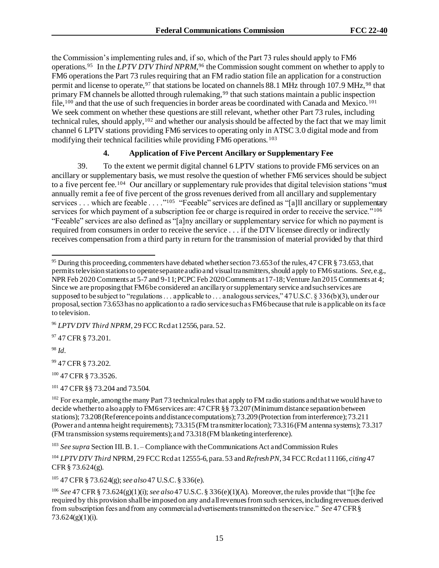the Commission's implementing rules and, if so, which of the Part 73 rules should apply to FM6 operations.<sup>95</sup> In the *LPTV DTV Third NPRM*, <sup>96</sup> the Commission sought comment on whether to apply to FM6 operations the Part 73 rules requiring that an FM radio station file an application for a construction permit and license to operate,  $97$  that stations be located on channels 88.1 MHz through 107.9 MHz.  $98$  that primary FM channels be allotted through rulemaking,<sup>99</sup> that such stations maintain a public inspection file,<sup>100</sup> and that the use of such frequencies in border areas be coordinated with Canada and Mexico.<sup>101</sup> We seek comment on whether these questions are still relevant, whether other Part 73 rules, including technical rules, should apply,<sup>102</sup> and whether our analysis should be affected by the fact that we may limit channel 6 LPTV stations providing FM6 services to operating only in ATSC 3.0 digital mode and from modifying their technical facilities while providing FM6 operations. <sup>103</sup>

#### **4. Application of Five Percent Ancillary or Supplementary Fee**

39. To the extent we permit digital channel 6 LPTV stations to provide FM6 services on an ancillary or supplementary basis, we must resolve the question of whether FM6 services should be subject to a five percent fee.<sup>104</sup> Our ancillary or supplementary rule provides that digital television stations "must annually remit a fee of five percent of the gross revenues derived from all ancillary and supplementary services . . . which are feeable . . . . "<sup>105</sup> "Feeable" services are defined as "[a]ll ancillary or supplementary services for which payment of a subscription fee or charge is required in order to receive the service."<sup>106</sup> "Feeable" services are also defined as "[a]ny ancillary or supplementary service for which no payment is required from consumers in order to receive the service . . . if the DTV licensee directly or indirectly receives compensation from a third party in return for the transmission of material provided by that third

97 47 CFR § 73.201.

<sup>98</sup> *Id.*

<sup>99</sup> 47 CFR § 73.202.

<sup>100</sup> 47 CFR § 73.3526.

<sup>101</sup> 47 CFR §§ 73.204 and 73.504.

<sup>103</sup> *See supra* Section III. B. 1. – Compliance with the Communications Act and Commission Rules

<sup>104</sup> *LPTV DTV Third* NPRM, 29 FCC Rcd at 12555-6, para. 53 and *Refresh PN,* 34 FCC Rcd at 11166, *citing* 47 CFR § 73.624(g).

<sup>105</sup> 47 CFR § 73.624(g); *see also*47 U.S.C. § 336(e).

<sup>106</sup> *See* 47 CFR § 73.624(g)(1)(i); *see also*47 U.S.C. § 336(e)(1)(A). Moreover, the rules provide that "[t]he fee required by this provision shall be imposed on any and all revenues from such services, including revenues derived from subscription fees and from any commercial advertisements transmitted on the service." *See* 47 CFR § 73.624(g)(1)(i).

<sup>&</sup>lt;sup>95</sup> During this proceeding, commenters have debated whether section 73.653 of the rules, 47 CFR § 73.653, that permits television stations to operate separate audio and visual transmitters, should apply to FM6 stations. *See*, e.g., NPR Feb 2020 Comments at 5-7 and 9-11; PCPC Feb 2020 Comments at 17-18; Venture Jan 2015 Comments at 4; Since we are proposing that FM6 be considered an ancillary or supplementary service and such services are supposed to besubject to "regulations . . . applicable to . . . analogous services," 47 U.S.C. § 336(b)(3), under our proposal, section 73.653 has no application to a radio service such as FM6 because that rule is applicable on its face to television.

<sup>96</sup> *LPTV DTV Third NPRM*, 29 FCC Rcd at 12556, para. 52.

 $102$  For example, among the many Part 73 technical rules that apply to FM radio stations and that we would have to decide whether to also apply to FM6 services are: 47 CFR §§ 73.207 (Minimum distance separation between stations); 73.208 (Reference points and distance computations); 73.209 (Protection from interference); 73.211 (Power and antenna height requirements); 73.315 (FM transmitter location); 73.316 (FM antenna systems); 73.317 (FM transmission systems requirements); and 73.318 (FM blanketing interference).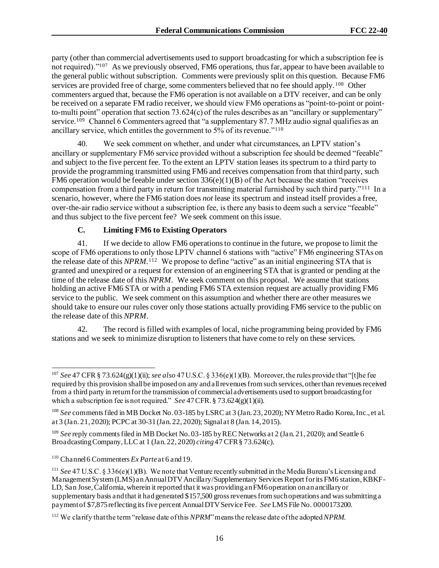party (other than commercial advertisements used to support broadcasting for which a subscription fee is not required)."<sup>107</sup> As we previously observed, FM6 operations, thus far, appear to have been available to the general public without subscription. Comments were previously split on this question. Because FM6 services are provided free of charge, some commenters believed that no fee should apply.<sup>108</sup> Other commenters argued that, because the FM6 operation is not available on a DTV receiver, and can be only be received on a separate FM radio receiver, we should view FM6 operations as "point-to-point or pointto-multi point" operation that section 73.624(c) of the rules describes as an "ancillary or supplementary" service.<sup>109</sup> Channel 6 Commenters agreed that "a supplementary 87.7 MHz audio signal qualifies as an ancillary service, which entitles the government to  $5\%$  of its revenue."<sup>110</sup>

40. We seek comment on whether, and under what circumstances, an LPTV station's ancillary or supplementary FM6 service provided without a subscription fee should be deemed "feeable" and subject to the five percent fee. To the extent an LPTV station leases its spectrum to a third party to provide the programming transmitted using FM6 and receives compensation from that third party, such FM6 operation would be feeable under section 336(e)(1)(B) of the Act because the station "receives compensation from a third party in return for transmitting material furnished by such third party."<sup>111</sup> In a scenario, however, where the FM6 station does *not* lease its spectrum and instead itself provides a free, over-the-air radio service without a subscription fee, is there any basis to deem such a service "feeable" and thus subject to the five percent fee? We seek comment on this issue.

## **C. Limiting FM6 to Existing Operators**

41. If we decide to allow FM6 operations to continue in the future, we propose to limit the scope of FM6 operations to only those LPTV channel 6 stations with "active" FM6 engineering STAs on the release date of this *NPRM.*<sup>112</sup> We propose to define "active" as an initial engineering STA that is granted and unexpired or a request for extension of an engineering STA that is granted or pending at the time of the release date of this *NPRM*. We seek comment on this proposal. We assume that stations holding an active FM6 STA or with a pending FM6 STA extension request are actually providing FM6 service to the public. We seek comment on this assumption and whether there are other measures we should take to ensure our rules cover only those stations actually providing FM6 service to the public on the release date of this *NPRM*.

42. The record is filled with examples of local, niche programming being provided by FM6 stations and we seek to minimize disruption to listeners that have come to rely on these services.

<sup>107</sup> *See* 47 CFR § 73.624(g)(1)(ii); *see also* 47 U.S.C. § 336(e)(1)(B). Moreover, the rules provide that "[t]he fee required by this provision shall be imposed on any and all revenues from such services, other than revenues received from a third party in return for the transmission of commercial advertisements used to support broadcasting for which a subscription fee is not required." *See* 47 CFR. § 73.624(g)(1)(ii).

<sup>108</sup> *See* comments filed in MB Docket No. 03-185 by LSRC at 3 (Jan. 23, 2020); NY Metro Radio Korea, Inc., et al. at 3 (Jan. 21, 2020); PCPC at 30-31 (Jan. 22, 2020); Signal at 8 (Jan. 14, 2015).

<sup>&</sup>lt;sup>109</sup> *See* reply comments filed in MB Docket No. 03-185 by REC Networks at 2 (Jan. 21, 2020); and Seattle 6 Broadcasting Company, LLC at 1 (Jan. 22, 2020) *citing*47 CFR § 73.624(c).

<sup>110</sup> Channel 6 Commenters *Ex Parte*at 6 and 19.

<sup>111</sup> *See* 47 U.S.C. § 336(e)(1)(B). We note that Venture recently submitted in the Media Bureau's Licensing and Management System (LMS) an Annual DTV Ancillary/Supplementary Services Report for its FM6 station, KBKF-LD, San Jose, California, wherein it reported that it was providing an FM6 operation on an ancillary or supplementary basis and that it had generated \$157,500 gross revenues from such operations and was submitting a payment of \$7,875 reflecting its five percent Annual DTV Service Fee. *See* LMS File No. 0000173200.

<sup>112</sup> We clarify that the term "release date of this *NPRM*" means the release date of the adopted *NPRM*.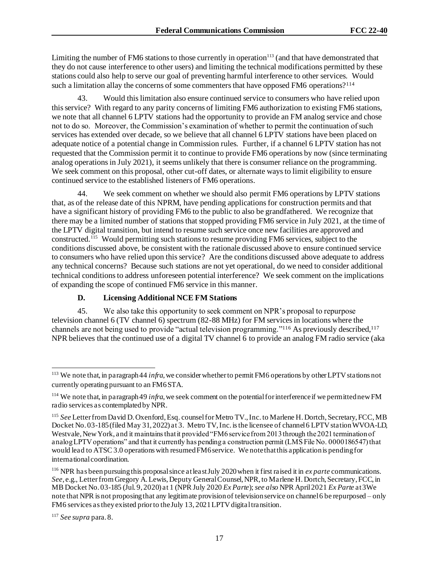Limiting the number of FM6 stations to those currently in operation $113$  (and that have demonstrated that they do not cause interference to other users) and limiting the technical modifications permitted by these stations could also help to serve our goal of preventing harmful interference to other services. Would such a limitation allay the concerns of some commenters that have opposed FM6 operations?<sup>114</sup>

43. Would this limitation also ensure continued service to consumers who have relied upon this service? With regard to any parity concerns of limiting FM6 authorization to existing FM6 stations, we note that all channel 6 LPTV stations had the opportunity to provide an FM analog service and chose not to do so. Moreover, the Commission's examination of whether to permit the continuation of such services has extended over decade, so we believe that all channel 6 LPTV stations have been placed on adequate notice of a potential change in Commission rules. Further, if a channel 6 LPTV station has not requested that the Commission permit it to continue to provide FM6 operations by now (since terminating analog operations in July 2021), it seems unlikely that there is consumer reliance on the programming. We seek comment on this proposal, other cut-off dates, or alternate ways to limit eligibility to ensure continued service to the established listeners of FM6 operations.

We seek comment on whether we should also permit FM6 operations by LPTV stations that, as of the release date of this NPRM, have pending applications for construction permits and that have a significant history of providing FM6 to the public to also be grandfathered. We recognize that there may be a limited number of stations that stopped providing FM6 service in July 2021, at the time of the LPTV digital transition, but intend to resume such service once new facilities are approved and constructed.<sup>115</sup> Would permitting such stations to resume providing FM6 services, subject to the conditions discussed above, be consistent with the rationale discussed above to ensure continued service to consumers who have relied upon this service? Are the conditions discussed above adequate to address any technical concerns? Because such stations are not yet operational, do we need to consider additional technical conditions to address unforeseen potential interference? We seek comment on the implications of expanding the scope of continued FM6 service in this manner.

### **D. Licensing Additional NCE FM Stations**

45. We also take this opportunity to seek comment on NPR's proposal to repurpose television channel 6 (TV channel 6) spectrum (82-88 MHz) for FM services in locations where the channels are not being used to provide "actual television programming."<sup>116</sup> As previously described,<sup>117</sup> NPR believes that the continued use of a digital TV channel 6 to provide an analog FM radio service (aka

<sup>117</sup> *See supra* para. 8.

<sup>&</sup>lt;sup>113</sup> We note that, in paragraph 44 *infra*, we consider whether to permit FM6 operations by other LPTV stations not currently operating pursuant to an FM6 STA.

<sup>114</sup> We note that, in paragraph 49 *infra*, we seek comment on the potential for interference if we permitted new FM radio services as contemplated by NPR.

<sup>115</sup> *See* Letter from David D. Oxenford, Esq. counsel for Metro TV., Inc. to Marlene H. Dortch, Secretary, FCC, MB Docket No. 03-185 (filed May 31, 2022) at 3. Metro TV, Inc. is the licensee of channel 6 LPTV station WVOA-LD, Westvale, New York, and it maintains that it provided "FM6 service from 2013 through the 2021 termination of analog LPTV operations" and that it currently has pending a construction permit (LMS File No. 0000186547) that would lead to ATSC 3.0 operations with resumed FM6 service. We note that this application is pending for international coordination.

<sup>116</sup> NPR has been pursuing this proposal since at least July 2020 when it first raised it in *ex parte* communications. *See*, e.g., Letter from Gregory A. Lewis, Deputy General Counsel, NPR, to Marlene H. Dortch, Secretary, FCC, in MB Docket No. 03-185 (Jul. 9, 2020) at 1 (NPR July 2020 *Ex Parte*); *see also* NPR April 2021 *Ex Parte* at 3We note that NPR is not proposing that any legitimate provision of television service on channel 6 be repurposed – only FM6 services as they existed prior to the July 13, 2021 LPTV digital transition.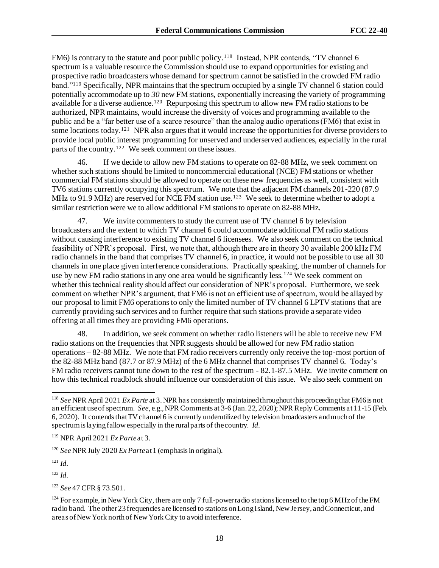FM6) is contrary to the statute and poor public policy.<sup>118</sup> Instead, NPR contends, "TV channel 6 spectrum is a valuable resource the Commission should use to expand opportunities for existing and prospective radio broadcasters whose demand for spectrum cannot be satisfied in the crowded FM radio band."<sup>119</sup> Specifically, NPR maintains that the spectrum occupied by a single TV channel 6 station could potentially accommodate up to *30* new FM stations, exponentially increasing the variety of programming available for a diverse audience.<sup>120</sup> Repurposing this spectrum to allow new FM radio stations to be authorized, NPR maintains, would increase the diversity of voices and programming available to the public and be a "far better use of a scarce resource" than the analog audio operations (FM6) that exist in some locations today.<sup>121</sup> NPR also argues that it would increase the opportunities for diverse providers to provide local public interest programming for unserved and underserved audiences, especially in the rural parts of the country.<sup>122</sup> We seek comment on these issues.

46. If we decide to allow new FM stations to operate on 82-88 MHz, we seek comment on whether such stations should be limited to noncommercial educational (NCE) FM stations or whether commercial FM stations should be allowed to operate on these new frequencies as well, consistent with TV6 stations currently occupying this spectrum. We note that the adjacent FM channels 201-220 (87.9 MHz to 91.9 MHz) are reserved for NCE FM station use.<sup>123</sup> We seek to determine whether to adopt a similar restriction were we to allow additional FM stations to operate on 82-88 MHz.

47. We invite commenters to study the current use of TV channel 6 by television broadcasters and the extent to which TV channel 6 could accommodate additional FM radio stations without causing interference to existing TV channel 6 licensees. We also seek comment on the technical feasibility of NPR's proposal. First, we note that, although there are in theory 30 available 200 kHz FM radio channels in the band that comprises TV channel 6, in practice, it would not be possible to use all 30 channels in one place given interference considerations. Practically speaking, the number of channels for use by new FM radio stations in any one area would be significantly less.<sup>124</sup> We seek comment on whether this technical reality should affect our consideration of NPR's proposal. Furthermore, we seek comment on whether NPR's argument, that FM6 is not an efficient use of spectrum, would be allayed by our proposal to limit FM6 operations to only the limited number of TV channel 6 LPTV stations that are currently providing such services and to further require that such stations provide a separate video offering at all times they are providing FM6 operations.

48. In addition, we seek comment on whether radio listeners will be able to receive new FM radio stations on the frequencies that NPR suggests should be allowed for new FM radio station operations – 82-88 MHz. We note that FM radio receivers currently only receive the top-most portion of the 82-88 MHz band (87.7 or 87.9 MHz) of the 6 MHz channel that comprises TV channel 6. Today's FM radio receivers cannot tune down to the rest of the spectrum - 82.1-87.5 MHz. We invite comment on how this technical roadblock should influence our consideration of this issue. We also seek comment on

<sup>119</sup> NPR April 2021 *Ex Parte* at 3.

<sup>120</sup> *See* NPR July 2020 *Ex Parte* at 1 (emphasis in original).

<sup>121</sup> *Id.*

<sup>122</sup> *Id.*

<sup>123</sup> *See* 47 CFR § 73.501.

<sup>118</sup> *See* NPR April 2021 *Ex Parte* at 3. NPR has consistently maintained throughout this proceeding that FM6 is not an efficient use of spectrum. *See*, e.g., NPR Comments at 3-6 (Jan. 22, 2020); NPR Reply Comments at 11-15 (Feb. 6, 2020). It contends that TV channel 6 is currently underutilized by television broadcasters and much of the spectrum is laying fallow especially in the rural parts of the country. *Id.*

<sup>&</sup>lt;sup>124</sup> For example, in New York City, there are only 7 full-power radio stations licensed to the top 6 MHz of the FM radio band. The other 23 frequencies are licensed to stations on Long Island, New Jersey, and Connecticut, and areas of New York north of New York City to avoid interference.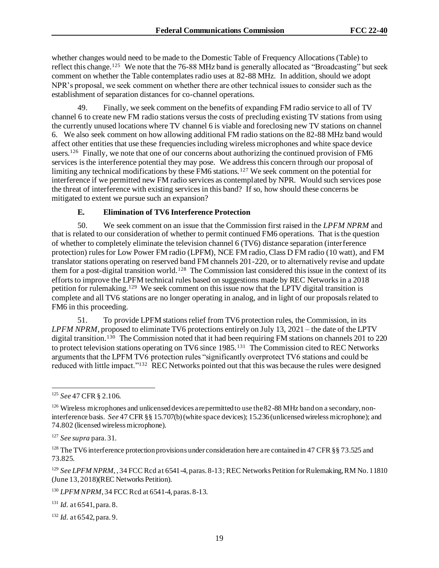whether changes would need to be made to the Domestic Table of Frequency Allocations (Table) to reflect this change.<sup>125</sup> We note that the 76-88 MHz band is generally allocated as "Broadcasting" but seek comment on whether the Table contemplates radio uses at 82-88 MHz. In addition, should we adopt NPR's proposal, we seek comment on whether there are other technical issues to consider such as the establishment of separation distances for co-channel operations.

49. Finally, we seek comment on the benefits of expanding FM radio service to all of TV channel 6 to create new FM radio stations versus the costs of precluding existing TV stations from using the currently unused locations where TV channel 6 is viable and foreclosing new TV stations on channel 6. We also seek comment on how allowing additional FM radio stations on the 82-88 MHz band would affect other entities that use these frequencies including wireless microphones and white space device users.<sup>126</sup> Finally, we note that one of our concerns about authorizing the continued provision of FM6 services is the interference potential they may pose. We address this concern through our proposal of limiting any technical modifications by these FM6 stations.<sup>127</sup> We seek comment on the potential for interference if we permitted new FM radio services as contemplated by NPR. Would such services pose the threat of interference with existing services in this band? If so, how should these concerns be mitigated to extent we pursue such an expansion?

#### **E. Elimination of TV6 Interference Protection**

50. We seek comment on an issue that the Commission first raised in the *LPFM NPRM* and that is related to our consideration of whether to permit continued FM6 operations. That is the question of whether to completely eliminate the television channel 6 (TV6) distance separation (interference protection) rules for Low Power FM radio (LPFM), NCE FM radio, Class D FM radio (10 watt), and FM translator stations operating on reserved band FM channels 201-220, or to alternatively revise and update them for a post-digital transition world.<sup>128</sup> The Commission last considered this issue in the context of its efforts to improve the LPFM technical rules based on suggestions made by REC Networks in a 2018 petition for rulemaking.<sup>129</sup> We seek comment on this issue now that the LPTV digital transition is complete and all TV6 stations are no longer operating in analog, and in light of our proposals related to FM6 in this proceeding.

51. To provide LPFM stations relief from TV6 protection rules, the Commission, in its *LPFM NPRM*, proposed to eliminate TV6 protections entirely on July 13, 2021 – the date of the LPTV digital transition.<sup>130</sup> The Commission noted that it had been requiring FM stations on channels 201 to 220 to protect television stations operating on TV6 since 1985.<sup>131</sup> The Commission cited to REC Networks arguments that the LPFM TV6 protection rules "significantly overprotect TV6 stations and could be reduced with little impact."<sup>132</sup> REC Networks pointed out that this was because the rules were designed

<sup>129</sup> See LPFM NPRM, 34 FCC Rcd at 6541-4, paras. 8-13; REC Networks Petition for Rulemaking, RM No. 11810 (June 13, 2018)(REC Networks Petition).

<sup>131</sup> *Id.* at 6541, para. 8.

<sup>132</sup> *Id.* at 6542, para. 9.

<sup>125</sup> *See* 47 CFR § 2.106.

<sup>&</sup>lt;sup>126</sup> Wireless microphones and unlicensed devices are permitted to use the 82-88 MHz band on a secondary, noninterference basis. *See* 47 CFR §§ 15.707(b) (white space devices); 15.236 (unlicensed wireless microphone); and 74.802 (licensed wireless microphone).

<sup>127</sup> *See supra* para. 31.

<sup>&</sup>lt;sup>128</sup> The TV6 interference protection provisions under consideration here are contained in 47 CFR §§ 73.525 and 73.825.

<sup>130</sup> *LPFM NPRM*, 34 FCC Rcd at 6541-4, paras. 8-13.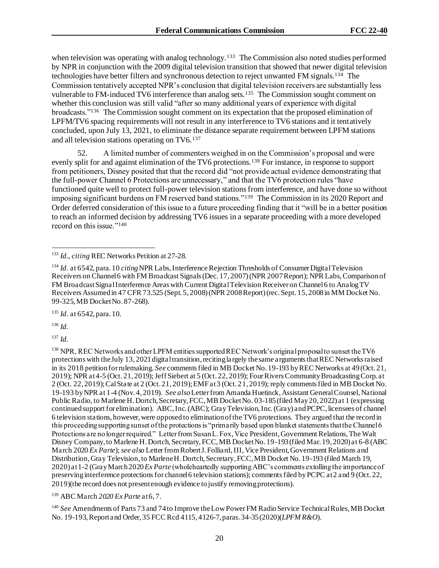when television was operating with analog technology.<sup>133</sup> The Commission also noted studies performed by NPR in conjunction with the 2009 digital television transition that showed that newer digital television technologies have better filters and synchronous detection to reject unwanted FM signals.<sup>134</sup> The Commission tentatively accepted NPR's conclusion that digital television receivers are substantially less vulnerable to FM-induced TV6 interference than analog sets.<sup>135</sup> The Commission sought comment on whether this conclusion was still valid "after so many additional years of experience with digital broadcasts."<sup>136</sup> The Commission sought comment on its expectation that the proposed elimination of LPFM/TV6 spacing requirements will not result in any interference to TV6 stations and it tentatively concluded, upon July 13, 2021, to eliminate the distance separate requirement between LPFM stations and all television stations operating on TV6.<sup>137</sup>

52. A limited number of commenters weighed in on the Commission's proposal and were evenly split for and against elimination of the TV6 protections.<sup>138</sup> For instance, in response to support from petitioners, Disney posited that that the record did "not provide actual evidence demonstrating that the full-power Channel 6 Protections are unnecessary," and that the TV6 protection rules "have functioned quite well to protect full-power television stations from interference, and have done so without imposing significant burdens on FM reserved band stations."<sup>139</sup> The Commission in its 2020 Report and Order deferred consideration of this issue to a future proceeding finding that it "will be in a better position to reach an informed decision by addressing TV6 issues in a separate proceeding with a more developed record on this issue."<sup>140</sup>

<sup>135</sup> *Id.* at 6542, para. 10.

<sup>136</sup> *Id.*

<sup>137</sup> *Id.*

<sup>138</sup> NPR, REC Networks and other LPFM entities supported REC Network's original proposal to sunset the TV6 protections with the July 13, 2021 digital transition, reciting largely the same arguments that REC Networks raised in its 2018 petition for rulemaking. *See* comments filed in MB Docket No. 19-193 by REC Networks at 49 (Oct. 21, 2019); NPR at 4-5 (Oct. 21, 2019); Jeff Siebert at 5 (Oct. 22, 2019); Four Rivers Community Broadcasting Corp. at 2 (Oct. 22, 2019); Cal State at 2 (Oct. 21, 2019); EMF at 3 (Oct. 21, 2019); reply comments filed in MB Docket No. 19-193 by NPR at 1-4 (Nov. 4, 2019). *See also* Letter from Amanda Huetinck, Assistant General Counsel, National Public Radio, to Marlene H. Dortch, Secretary, FCC, MB Docket No. 03-185(filed May 20, 2022) at 1 (expressing continued support for elimination). ABC, Inc. (ABC); Gray Television, Inc. (Gray) and PCPC, licensees of channel 6 television stations, however, were opposed to elimination of the TV6 protections. They argued that the record in this proceeding supporting sunset of the protections is "primarily based upon blanket statements that the Channel 6 Protections are no longer required." Letter from Susan L. Fox, Vice President, Government Relations, The Walt Disney Company, to Marlene H. Dortch, Secretary, FCC, MB Docket No. 19-193 (filed Mar. 19, 2020) at 6-8 (ABC March 2020 *Ex Parte*); *see also* Letter from Robert J. Folliard, III, Vice President, Government Relations and Distribution, Gray Television, to Marlene H. Dortch, Secretary, FCC, MB Docket No. 19-193 (filed March 19, 2020) at 1-2 (Gray March 2020 *Ex Parte* (wholeheartedly supporting ABC's comments extolling the importance of preserving interference protections for channel 6 television stations); comments filed by PCPC at 2 and 9 (Oct. 22, 2019)(the record does not present enough evidence to justify removing protections).

<sup>139</sup> ABC March 2020 *Ex Parte* at 6, 7.

<sup>140</sup> *See* Amendments of Parts 73 and 74 to Improve the Low Power FM Radio Service Technical Rules, MB Docket No. 19-193, Report and Order, 35 FCC Rcd 4115, 4126-7, paras. 34-35 (2020)(*LPFM R&O*).

<sup>133</sup> *Id., citing* REC Networks Petition at 27-28.

<sup>134</sup> *Id.* at 6542, para. 10 *citing*NPR Labs, Interference Rejection Thresholds of Consumer Digital Television Receivers on Channel 6 with FM Broadcast Signals (Dec. 17, 2007) (NPR 2007 Report); NPR Labs, Comparison of FM Broadcast Signal Interference Areas with Current Digital Television Receiver on Channel 6 to Analog TV Receivers Assumed in 47 CFR 73.525 (Sept. 5, 2008) (NPR 2008 Report) (rec. Sept. 15, 2008 in MM Docket No. 99-325, MB Docket No. 87-268).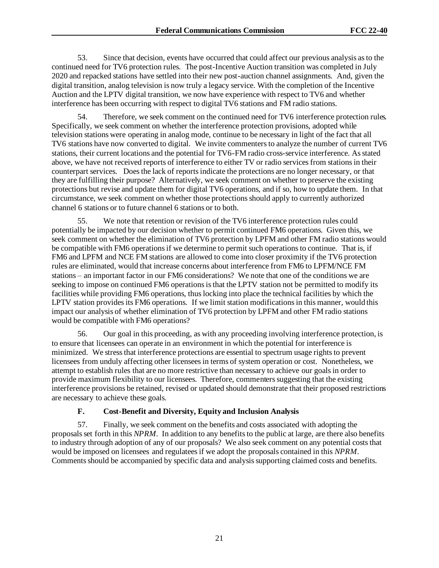53. Since that decision, events have occurred that could affect our previous analysis as to the continued need for TV6 protection rules. The post-Incentive Auction transition was completed in July 2020 and repacked stations have settled into their new post-auction channel assignments. And, given the digital transition, analog television is now truly a legacy service. With the completion of the Incentive Auction and the LPTV digital transition, we now have experience with respect to TV6 and whether interference has been occurring with respect to digital TV6 stations and FM radio stations.

54. Therefore, we seek comment on the continued need for TV6 interference protection rules. Specifically, we seek comment on whether the interference protection provisions, adopted while television stations were operating in analog mode, continue to be necessary in light of the fact that all TV6 stations have now converted to digital. We invite commenters to analyze the number of current TV6 stations, their current locations and the potential for TV6-FM radio cross-service interference. As stated above, we have not received reports of interference to either TV or radio services from stations in their counterpart services. Does the lack of reports indicate the protections are no longer necessary, or that they are fulfilling their purpose? Alternatively, we seek comment on whether to preserve the existing protections but revise and update them for digital TV6 operations, and if so, how to update them. In that circumstance, we seek comment on whether those protections should apply to currently authorized channel 6 stations or to future channel 6 stations or to both.

55. We note that retention or revision of the TV6 interference protection rules could potentially be impacted by our decision whether to permit continued FM6 operations. Given this, we seek comment on whether the elimination of TV6 protection by LPFM and other FM radio stations would be compatible with FM6 operations if we determine to permit such operations to continue. That is, if FM6 and LPFM and NCE FM stations are allowed to come into closer proximity if the TV6 protection rules are eliminated, would that increase concerns about interference from FM6 to LPFM/NCE FM stations – an important factor in our FM6 considerations? We note that one of the conditions we are seeking to impose on continued FM6 operations is that the LPTV station not be permitted to modify its facilities while providing FM6 operations, thus locking into place the technical facilities by which the LPTV station provides its FM6 operations. If we limit station modifications in this manner, would this impact our analysis of whether elimination of TV6 protection by LPFM and other FM radio stations would be compatible with FM6 operations?

56. Our goal in this proceeding, as with any proceeding involving interference protection, is to ensure that licensees can operate in an environment in which the potential for interference is minimized. We stress that interference protections are essential to spectrum usage rights to prevent licensees from unduly affecting other licensees in terms of system operation or cost. Nonetheless, we attempt to establish rules that are no more restrictive than necessary to achieve our goals in order to provide maximum flexibility to our licensees. Therefore, commenters suggesting that the existing interference provisions be retained, revised or updated should demonstrate that their proposed restrictions are necessary to achieve these goals.

#### **F. Cost-Benefit and Diversity, Equity and Inclusion Analysis**

57. Finally, we seek comment on the benefits and costs associated with adopting the proposals set forth in this *NPRM*. In addition to any benefits to the public at large, are there also benefits to industry through adoption of any of our proposals? We also seek comment on any potential costs that would be imposed on licensees and regulatees if we adopt the proposals contained in this *NPRM*. Comments should be accompanied by specific data and analysis supporting claimed costs and benefits.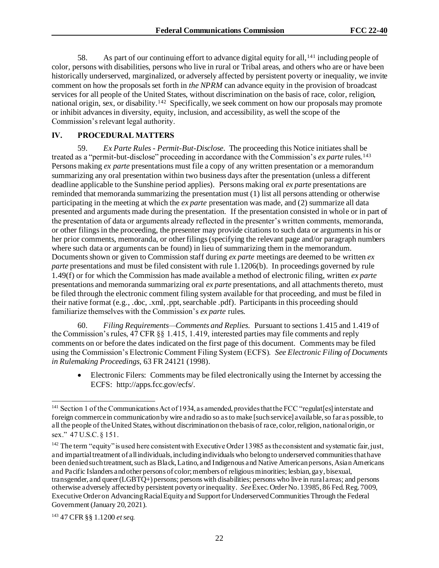58. As part of our continuing effort to advance digital equity for all,<sup>141</sup> including people of color, persons with disabilities, persons who live in rural or Tribal areas, and others who are or have been historically underserved, marginalized, or adversely affected by persistent poverty or inequality, we invite comment on how the proposals set forth in *the NPRM* can advance equity in the provision of broadcast services for all people of the United States, without discrimination on the basis of race, color, religion, national origin, sex, or disability.<sup>142</sup> Specifically, we seek comment on how our proposals may promote or inhibit advances in diversity, equity, inclusion, and accessibility, as well the scope of the Commission's relevant legal authority.

#### **IV. PROCEDURAL MATTERS**

59. *Ex Parte Rules - Permit-But-Disclose*. The proceeding this Notice initiates shall be treated as a "permit-but-disclose" proceeding in accordance with the Commission's *ex parte* rules.<sup>143</sup> Persons making *ex parte* presentations must file a copy of any written presentation or a memorandum summarizing any oral presentation within two business days after the presentation (unless a different deadline applicable to the Sunshine period applies). Persons making oral *ex parte* presentations are reminded that memoranda summarizing the presentation must (1) list all persons attending or otherwise participating in the meeting at which the *ex parte* presentation was made, and (2) summarize all data presented and arguments made during the presentation. If the presentation consisted in whole or in part of the presentation of data or arguments already reflected in the presenter's written comments, memoranda, or other filings in the proceeding, the presenter may provide citations to such data or arguments in his or her prior comments, memoranda, or other filings (specifying the relevant page and/or paragraph numbers where such data or arguments can be found) in lieu of summarizing them in the memorandum. Documents shown or given to Commission staff during *ex parte* meetings are deemed to be written *ex parte* presentations and must be filed consistent with rule 1.1206(b). In proceedings governed by rule 1.49(f) or for which the Commission has made available a method of electronic filing, written *ex parte* presentations and memoranda summarizing oral *ex parte* presentations, and all attachments thereto, must be filed through the electronic comment filing system available for that proceeding, and must be filed in their native format (e.g., .doc, .xml, .ppt, searchable .pdf). Participants in this proceeding should familiarize themselves with the Commission's *ex parte* rules.

60. *Filing Requirements—Comments and Replies*. Pursuant to sections 1.415 and 1.419 of the Commission's rules, 47 CFR §§ 1.415, 1.419, interested parties may file comments and reply comments on or before the dates indicated on the first page of this document. Comments may be filed using the Commission's Electronic Comment Filing System (ECFS). *See Electronic Filing of Documents in Rulemaking Proceedings*, 63 FR 24121 (1998).

• Electronic Filers: Comments may be filed electronically using the Internet by accessing the ECFS: http://apps.fcc.gov/ecfs/.

<sup>&</sup>lt;sup>141</sup> Section 1 of the Communications Act of 1934, as amended, provides that the FCC "regulat[es] interstate and foreign commerce in communication by wire and radio so as to make [such service] available, so far as possible, to all the people of the United States, without discrimination on the basis of race, color, religion, national origin, or sex." 47 U.S.C. § 151.

 $142$  The term "equity" is used here consistent with Executive Order 13985 as the consistent and systematic fair, just, and impartial treatment of all individuals, including individuals who belong to underserved communities that have been denied such treatment, such as Black, Latino, and Indigenous and Native American persons, Asian Americans and Pacific Islanders and other persons of color; members of religious minorities; lesbian, gay, bisexual, transgender, and queer (LGBTQ+) persons; persons with disabilities; persons who live in rural areas; and persons otherwise adversely affected by persistent poverty or inequality. *See*Exec. Order No. 13985, 86 Fed. Reg. 7009, Executive Order on Advancing Racial Equity and Support for Underserved Communities Through the Federal Government (January 20, 2021).

<sup>143</sup> 47 CFR §§ 1.1200 *et seq.*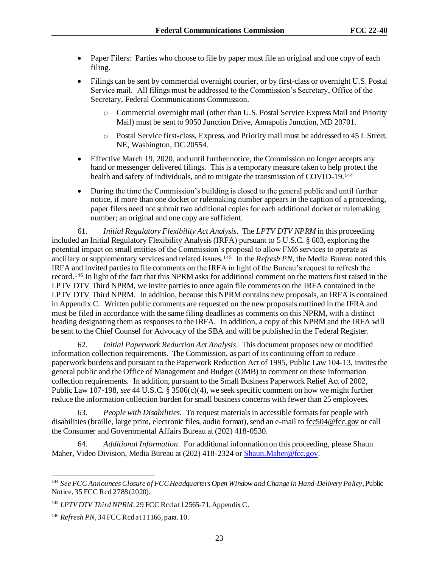- Paper Filers: Parties who choose to file by paper must file an original and one copy of each filing.
- Filings can be sent by commercial overnight courier, or by first-class or overnight U.S. Postal Service mail. All filings must be addressed to the Commission's Secretary, Office of the Secretary, Federal Communications Commission.
	- o Commercial overnight mail (other than U.S. Postal Service Express Mail and Priority Mail) must be sent to 9050 Junction Drive, Annapolis Junction, MD 20701.
	- o Postal Service first-class, Express, and Priority mail must be addressed to 45 L Street, NE, Washington, DC 20554.
- Effective March 19, 2020, and until further notice, the Commission no longer accepts any hand or messenger delivered filings. This is a temporary measure taken to help protect the health and safety of individuals, and to mitigate the transmission of COVID-19.<sup>144</sup>
- During the time the Commission's building is closed to the general public and until further notice, if more than one docket or rulemaking number appears in the caption of a proceeding, paper filers need not submit two additional copies for each additional docket or rulemaking number; an original and one copy are sufficient.

61. *Initial Regulatory Flexibility Act Analysis*. The *LPTV DTV NPRM* in this proceeding included an Initial Regulatory Flexibility Analysis (IRFA) pursuant to 5 U.S.C. § 603, exploring the potential impact on small entities of the Commission's proposal to allow FM6 services to operate as ancillary or supplementary services and related issues.<sup>145</sup> In the *Refresh PN*, the Media Bureau noted this IRFA and invited parties to file comments on the IRFA in light of the Bureau's request to refresh the record.<sup>146</sup> In light of the fact that this NPRM asks for additional comment on the matters first raised in the LPTV DTV Third NPRM, we invite parties to once again file comments on the IRFA contained in the LPTV DTV Third NPRM. In addition, because this NPRM contains new proposals, an IRFA is contained in Appendix C. Written public comments are requested on the new proposals outlined in the IFRA and must be filed in accordance with the same filing deadlines as comments on this NPRM, with a distinct heading designating them as responses to the IRFA. In addition, a copy of this NPRM and the IRFA will be sent to the Chief Counsel for Advocacy of the SBA and will be published in the Federal Register.

62. *Initial Paperwork Reduction Act Analysis*. This document proposes new or modified information collection requirements. The Commission, as part of its continuing effort to reduce paperwork burdens and pursuant to the Paperwork Reduction Act of 1995, Public Law 104-13, invites the general public and the Office of Management and Budget (OMB) to comment on these information collection requirements. In addition, pursuant to the Small Business Paperwork Relief Act of 2002, Public Law 107-198, *see* 44 U.S.C. § 3506(c)(4), we seek specific comment on how we might further reduce the information collection burden for small business concerns with fewer than 25 employees.

63. *People with Disabilities*. To request materials in accessible formats for people with disabilities (braille, large print, electronic files, audio format), send an e-mail t[o fcc504@fcc.gov](about:blank) or call the Consumer and Governmental Affairs Bureau at (202) 418-0530.

64. *Additional Information*. For additional information on this proceeding, please Shaun Maher, Video Division, Media Bureau at (202) 418-2324 or Shaun. Maher@fcc.gov.

<sup>144</sup> *See FCC Announces Closure of FCC Headquarters Open Window and Change in Hand-Delivery Policy*, Public Notice, 35 FCC Rcd 2788 (2020).

<sup>&</sup>lt;sup>145</sup> *LPTV DTV Third NPRM*, 29 FCC Rcd at 12565-71, Appendix C.

<sup>146</sup> *Refresh PN*, 34 FCC Rcd at 11166, para. 10.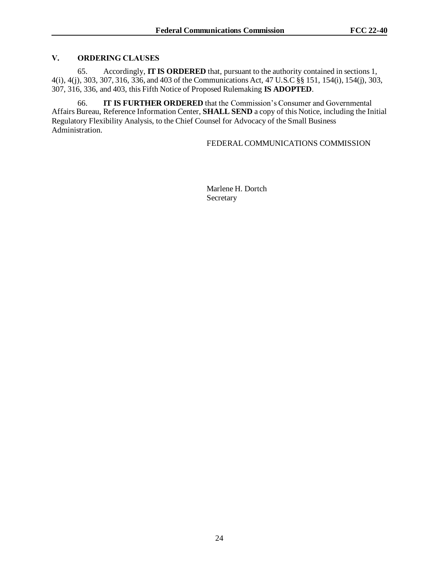#### **V. ORDERING CLAUSES**

65. Accordingly, **IT IS ORDERED** that, pursuant to the authority contained in sections 1, 4(i), 4(j), 303, 307, 316, 336, and 403 of the Communications Act, 47 U.S.C §§ 151, 154(i), 154(j), 303, 307, 316, 336, and 403, this Fifth Notice of Proposed Rulemaking **IS ADOPTED**.

66. **IT IS FURTHER ORDERED** that the Commission's Consumer and Governmental Affairs Bureau, Reference Information Center, **SHALL SEND** a copy of this Notice, including the Initial Regulatory Flexibility Analysis, to the Chief Counsel for Advocacy of the Small Business Administration.

## FEDERAL COMMUNICATIONS COMMISSION

Marlene H. Dortch Secretary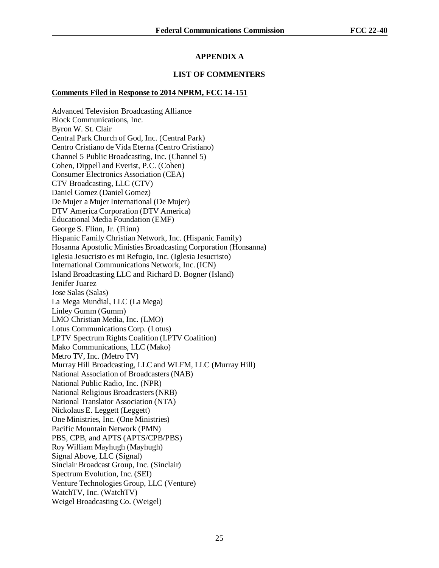# **APPENDIX A**

### **LIST OF COMMENTERS**

### **Comments Filed in Response to 2014 NPRM, FCC 14-151**

Advanced Television Broadcasting Alliance Block Communications, Inc. Byron W. St. Clair Central Park Church of God, Inc. (Central Park) Centro Cristiano de Vida Eterna (Centro Cristiano) Channel 5 Public Broadcasting, Inc. (Channel 5) Cohen, Dippell and Everist, P.C. (Cohen) Consumer Electronics Association (CEA) CTV Broadcasting, LLC (CTV) Daniel Gomez (Daniel Gomez) De Mujer a Mujer International (De Mujer) DTV America Corporation (DTV America) Educational Media Foundation (EMF) George S. Flinn, Jr. (Flinn) Hispanic Family Christian Network, Inc. (Hispanic Family) Hosanna Apostolic Ministies Broadcasting Corporation (Honsanna) Iglesia Jesucristo es mi Refugio, Inc. (Iglesia Jesucristo) International Communications Network, Inc. (ICN) Island Broadcasting LLC and Richard D. Bogner (Island) Jenifer Juarez Jose Salas (Salas) La Mega Mundial, LLC (La Mega) Linley Gumm (Gumm) LMO Christian Media, Inc. (LMO) Lotus Communications Corp. (Lotus) LPTV Spectrum Rights Coalition (LPTV Coalition) Mako Communications, LLC (Mako) Metro TV, Inc. (Metro TV) Murray Hill Broadcasting, LLC and WLFM, LLC (Murray Hill) National Association of Broadcasters (NAB) National Public Radio, Inc. (NPR) National Religious Broadcasters (NRB) National Translator Association (NTA) Nickolaus E. Leggett (Leggett) One Ministries, Inc. (One Ministries) Pacific Mountain Network (PMN) PBS, CPB, and APTS (APTS/CPB/PBS) Roy William Mayhugh (Mayhugh) Signal Above, LLC (Signal) Sinclair Broadcast Group, Inc. (Sinclair) Spectrum Evolution, Inc. (SEI) Venture Technologies Group, LLC (Venture) WatchTV, Inc. (WatchTV) Weigel Broadcasting Co. (Weigel)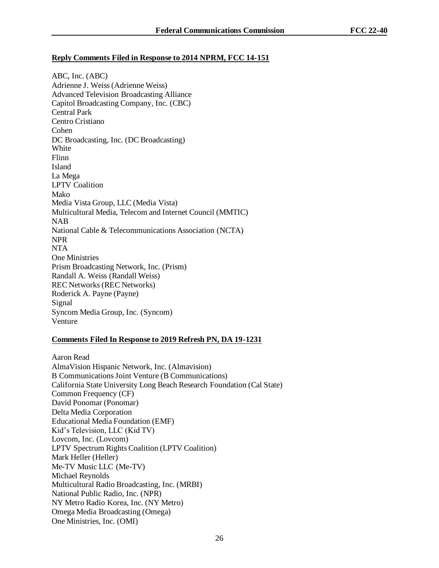### **Reply Comments Filed in Response to 2014 NPRM, FCC 14-151**

ABC, Inc. (ABC) Adrienne J. Weiss (Adrienne Weiss) Advanced Television Broadcasting Alliance Capitol Broadcasting Company, Inc. (CBC) Central Park Centro Cristiano Cohen DC Broadcasting, Inc. (DC Broadcasting) White Flinn Island La Mega LPTV Coalition Mako Media Vista Group, LLC (Media Vista) Multicultural Media, Telecom and Internet Council (MMTIC) NAB National Cable & Telecommunications Association (NCTA) NPR NTA One Ministries Prism Broadcasting Network, Inc. (Prism) Randall A. Weiss (Randall Weiss) REC Networks (REC Networks) Roderick A. Payne (Payne) Signal Syncom Media Group, Inc. (Syncom) Venture

## **Comments Filed In Response to 2019 Refresh PN, DA 19-1231**

Aaron Read AlmaVision Hispanic Network, Inc. (Almavision) B Communications Joint Venture (B Communications) California State University Long Beach Research Foundation (Cal State) Common Frequency (CF) David Ponomar (Ponomar) Delta Media Corporation Educational Media Foundation (EMF) Kid's Television, LLC (Kid TV) Lovcom, Inc. (Lovcom) LPTV Spectrum Rights Coalition (LPTV Coalition) Mark Heller (Heller) Me-TV Music LLC (Me-TV) Michael Reynolds Multicultural Radio Broadcasting, Inc. (MRBI) National Public Radio, Inc. (NPR) NY Metro Radio Korea, Inc. (NY Metro) Omega Media Broadcasting (Omega) One Ministries, Inc. (OMI)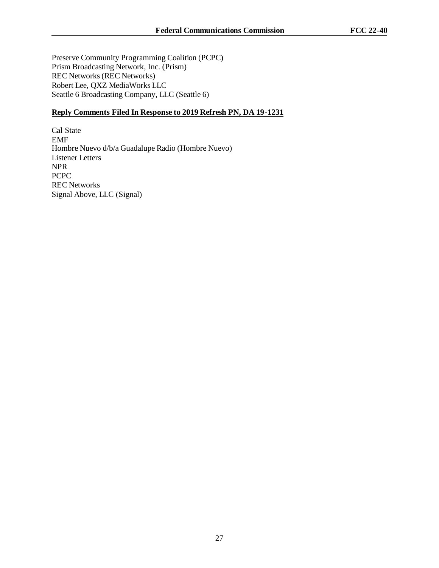Preserve Community Programming Coalition (PCPC) Prism Broadcasting Network, Inc. (Prism) REC Networks (REC Networks) Robert Lee, QXZ MediaWorks LLC Seattle 6 Broadcasting Company, LLC (Seattle 6)

# **Reply Comments Filed In Response to 2019 Refresh PN, DA 19-1231**

Cal State EMF Hombre Nuevo d/b/a Guadalupe Radio (Hombre Nuevo) Listener Letters NPR PCPC REC Networks Signal Above, LLC (Signal)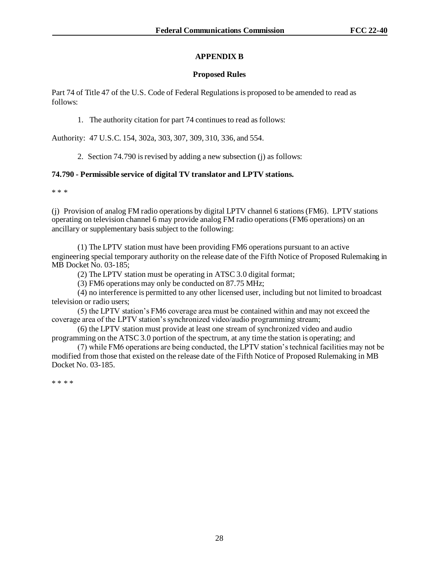## **APPENDIX B**

#### **Proposed Rules**

Part 74 of Title 47 of the U.S. Code of Federal Regulations is proposed to be amended to read as follows:

1. The authority citation for part 74 continues to read as follows:

Authority: 47 U.S.C. 154, 302a, 303, 307, 309, 310, 336, and 554.

2. Section 74.790 is revised by adding a new subsection (j) as follows:

### **74.790 - Permissible service of digital TV translator and LPTV stations.**

\* \* \*

(j) Provision of analog FM radio operations by digital LPTV channel 6 stations (FM6). LPTV stations operating on television channel 6 may provide analog FM radio operations (FM6 operations) on an ancillary or supplementary basis subject to the following:

(1) The LPTV station must have been providing FM6 operations pursuant to an active engineering special temporary authority on the release date of the Fifth Notice of Proposed Rulemaking in MB Docket No. 03-185;

(2) The LPTV station must be operating in ATSC 3.0 digital format;

(3) FM6 operations may only be conducted on 87.75 MHz;

(4) no interference is permitted to any other licensed user, including but not limited to broadcast television or radio users;

(5) the LPTV station's FM6 coverage area must be contained within and may not exceed the coverage area of the LPTV station's synchronized video/audio programming stream;

(6) the LPTV station must provide at least one stream of synchronized video and audio programming on the ATSC 3.0 portion of the spectrum, at any time the station is operating; and

(7) while FM6 operations are being conducted, the LPTV station's technical facilities may not be modified from those that existed on the release date of the Fifth Notice of Proposed Rulemaking in MB Docket No. 03-185.

\* \* \* \*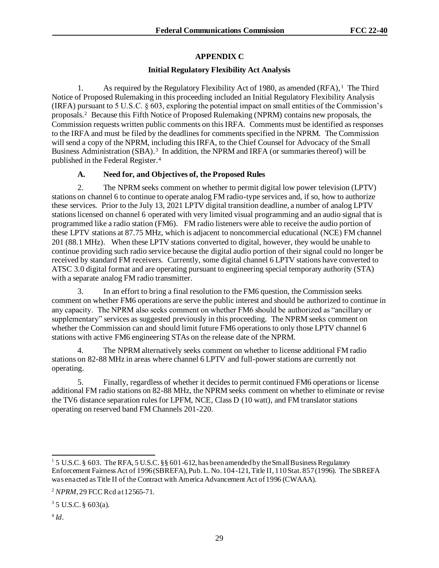# **APPENDIX C**

### **Initial Regulatory Flexibility Act Analysis**

1. As required by the Regulatory Flexibility Act of 1980, as amended (RFA),<sup>1</sup> The Third Notice of Proposed Rulemaking in this proceeding included an Initial Regulatory Flexibility Analysis (IRFA) pursuant to 5 U.S.C. § 603, exploring the potential impact on small entities of the Commission's proposals.<sup>2</sup> Because this Fifth Notice of Proposed Rulemaking (NPRM) contains new proposals, the Commission requests written public comments on this IRFA. Comments must be identified as responses to the IRFA and must be filed by the deadlines for comments specified in the NPRM. The Commission will send a copy of the NPRM, including this IRFA, to the Chief Counsel for Advocacy of the Small Business Administration (SBA).<sup>3</sup> In addition, the NPRM and IRFA (or summaries thereof) will be published in the Federal Register.<sup>4</sup>

## **A. Need for, and Objectives of, the Proposed Rules**

2. The NPRM seeks comment on whether to permit digital low power television (LPTV) stations on channel 6 to continue to operate analog FM radio-type services and, if so, how to authorize these services. Prior to the July 13, 2021 LPTV digital transition deadline, a number of analog LPTV stations licensed on channel 6 operated with very limited visual programming and an audio signal that is programmed like a radio station (FM6). FM radio listeners were able to receive the audio portion of these LPTV stations at 87.75 MHz, which is adjacent to noncommercial educational (NCE) FM channel 201 (88.1 MHz). When these LPTV stations converted to digital, however, they would be unable to continue providing such radio service because the digital audio portion of their signal could no longer be received by standard FM receivers. Currently, some digital channel 6 LPTV stations have converted to ATSC 3.0 digital format and are operating pursuant to engineering special temporary authority (STA) with a separate analog FM radio transmitter.

3. In an effort to bring a final resolution to the FM6 question, the Commission seeks comment on whether FM6 operations are serve the public interest and should be authorized to continue in any capacity. The NPRM also seeks comment on whether FM6 should be authorized as "ancillary or supplementary" services as suggested previously in this proceeding. The NPRM seeks comment on whether the Commission can and should limit future FM6 operations to only those LPTV channel 6 stations with active FM6 engineering STAs on the release date of the NPRM.

4. The NPRM alternatively seeks comment on whether to license additional FM radio stations on 82-88 MHz in areas where channel 6 LPTV and full-power stations are currently not operating.

5. Finally, regardless of whether it decides to permit continued FM6 operations or license additional FM radio stations on 82-88 MHz, the NPRM seeks comment on whether to eliminate or revise the TV6 distance separation rules for LPFM, NCE, Class D (10 watt), and FM translator stations operating on reserved band FM Channels 201-220.

 $^4$  *Id*.

<sup>&</sup>lt;sup>1</sup> 5 U.S.C. § 603. The RFA, 5 U.S.C. § § 601-612, has been amended by the Small Business Regulatory Enforcement Fairness Act of 1996 (SBREFA), Pub. L. No. 104-121, Title II, 110 Stat. 857 (1996). The SBREFA was enacted as Title II of the Contract with America Advancement Act of 1996 (CWAAA).

<sup>2</sup> *NPRM*, 29 FCC Rcd at 12565-71.

 $3$  5 U.S.C. § 603(a).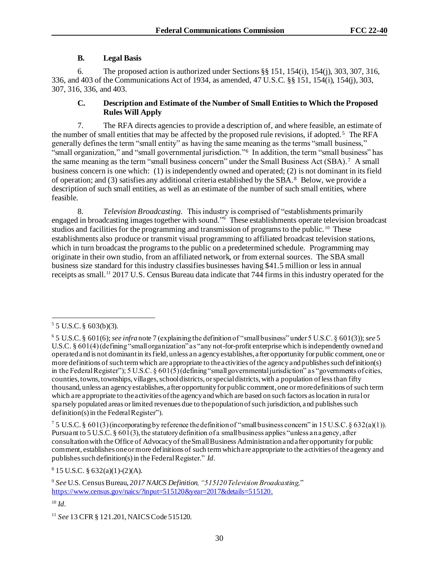# **B. Legal Basis**

6. The proposed action is authorized under Sections §§ 151, 154(i), 154(j), 303, 307, 316, 336, and 403 of the Communications Act of 1934, as amended, 47 U.S.C. §§ 151, 154(i), 154(j), 303, 307, 316, 336, and 403.

# **C. Description and Estimate of the Number of Small Entities to Which the Proposed Rules Will Apply**

7. The RFA directs agencies to provide a description of, and where feasible, an estimate of the number of small entities that may be affected by the proposed rule revisions, if adopted.<sup>5</sup> The RFA generally defines the term "small entity" as having the same meaning as the terms "small business," "small organization," and "small governmental jurisdiction."<sup>6</sup> In addition, the term "small business" has the same meaning as the term "small business concern" under the Small Business Act (SBA).<sup>7</sup> A small business concern is one which: (1) is independently owned and operated; (2) is not dominant in its field of operation; and (3) satisfies any additional criteria established by the SBA.<sup>8</sup> Below, we provide a description of such small entities, as well as an estimate of the number of such small entities, where feasible.

8. *Television Broadcasting.* This industry is comprised of "establishments primarily engaged in broadcasting images together with sound."<sup>9</sup> These establishments operate television broadcast studios and facilities for the programming and transmission of programs to the public.<sup>10</sup> These establishments also produce or transmit visual programming to affiliated broadcast television stations, which in turn broadcast the programs to the public on a predetermined schedule. Programming may originate in their own studio, from an affiliated network, or from external sources. The SBA small business size standard for this industry classifies businesses having \$41.5 million or less in annual receipts as small.<sup>11</sup> 2017 U.S. Census Bureau data indicate that 744 firms in this industry operated for the

 $8 \text{ 15 U.S.C. } $632(a)(1)-(2)(A).$ 

 $55$  U.S.C. § 603(b)(3).

<sup>6</sup> 5 U.S.C. § 601(6); *see infra* note 7 (explaining the definition of "small business" under 5 U.S.C. § 601(3)); *see* 5 U.S.C. § 601(4) (defining "small organization" as "any not-for-profit enterprise which is independently owned and operated and is not dominant in its field, unless an agency establishes, after opportunity for public comment, one or more definitions of such term which are appropriate to the activities of the agency and publishes such definition(s) in the Federal Register"); 5 U.S.C.  $\S 601(5)$  (defining "small governmental jurisdiction" as "governments of cities, counties, towns, townships, villages, school districts, or special districts, with a population of less than fifty thousand, unless an agency establishes, after opportunity for public comment, one or more definitions of such term which are appropriate to the activities of the agency and which are based on such factors as location in rural or sparsely populated areas or limited revenues due to the population of such jurisdiction, and publishes such definition(s) in the Federal Register").

<sup>&</sup>lt;sup>7</sup> 5 U.S.C. § 601(3) (incorporating by reference the definition of "small business concern" in 15 U.S.C. § 632(a)(1)). Pursuant to 5 U.S.C. § 601(3), the statutory definition of a small business applies "unless an agency, after consultation with the Office of Advocacy of the Small Business Administration and after opportunity for public comment, establishes one or more definitions of such term which are appropriate to the activities of the agency and publishes such definition(s) in the Federal Register." *Id.*

<sup>9</sup> *See* U.S. Census Bureau, *2017 NAICS Definition, "515120 Television Broadcasting,*" <https://www.census.gov/naics/?input=515120&year=2017&details=515120>.

<sup>10</sup> *Id.*

<sup>&</sup>lt;sup>11</sup> *See* 13 CFR § 121.201, NAICS Code 515120.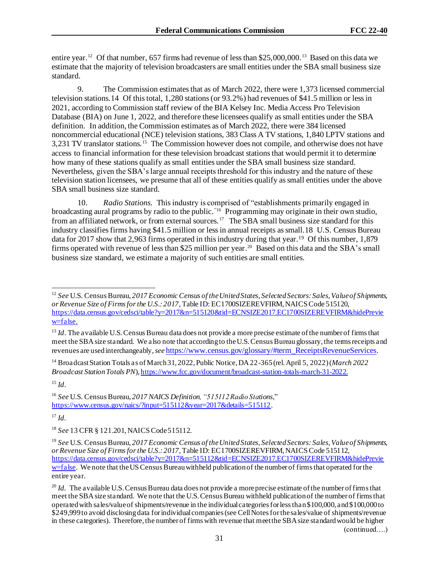entire year.<sup>12</sup> Of that number, 657 firms had revenue of less than \$25,000,000.<sup>13</sup> Based on this data we estimate that the majority of television broadcasters are small entities under the SBA small business size standard.

9. The Commission estimates that as of March 2022, there were 1,373 licensed commercial television stations.14 Of this total, 1,280 stations (or 93.2%) had revenues of \$41.5 million or less in 2021, according to Commission staff review of the BIA Kelsey Inc. Media Access Pro Television Database (BIA) on June 1, 2022, and therefore these licensees qualify as small entities under the SBA definition. In addition, the Commission estimates as of March 2022, there were 384 licensed noncommercial educational (NCE) television stations, 383 Class A TV stations, 1,840 LPTV stations and 3,231 TV translator stations.<sup>15</sup> The Commission however does not compile, and otherwise does not have access to financial information for these television broadcast stations that would permit it to determine how many of these stations qualify as small entities under the SBA small business size standard. Nevertheless, given the SBA's large annual receipts threshold for this industry and the nature of these television station licensees, we presume that all of these entities qualify as small entities under the above SBA small business size standard.

10. *Radio Stations*. This industry is comprised of "establishments primarily engaged in broadcasting aural programs by radio to the public.<sup>"16</sup> Programming may originate in their own studio, from an affiliated network, or from external sources.<sup>17</sup> The SBA small business size standard for this industry classifies firms having \$41.5 million or less in annual receipts as small.18 U.S. Census Bureau data for 2017 show that 2,963 firms operated in this industry during that year.<sup>19</sup> Of this number, 1,879 firms operated with revenue of less than \$25 million per year.<sup>20</sup> Based on this data and the SBA's small business size standard, we estimate a majority of such entities are small entities.

<sup>14</sup> Broadcast Station Totals as of March 31, 2022, Public Notice, DA 22-365 (rel. April 5, 2022) (*March 2022 Broadcast Station Totals PN*)[, https://www.fcc.gov/document/broadcast-station-totals-march-31-2022.](https://www.fcc.gov/document/broadcast-station-totals-march-31-2022.b)

<sup>15</sup> *Id*.

<sup>17</sup> *Id.*

(continued….)

<sup>12</sup> *See* U.S. Census Bureau, *2017 Economic Census of the United States*, *Selected Sectors: Sales, Value of Shipments, or Revenue Size of Firms for the U.S.: 2017,* Table ID: EC1700SIZEREVFIRM, NAICS Code 515120, https://data.census.gov/cedsci/table?y=2017&n=515120&tid=ECNSIZE2017.EC1700SIZEREVFIRM&hidePrevie w=false.

<sup>&</sup>lt;sup>13</sup> *Id*. The available U.S. Census Bureau data does not provide a more precise estimate of the number of firms that meet the SBA size standard. We also note that according to the U.S. Census Bureau glossary, the terms receipts and revenues are used interchangeably, *see* [https://www.census.gov/glossary/#term\\_ReceiptsRevenueServices](https://www.census.gov/glossary/#term_ReceiptsRevenueServices).

<sup>16</sup> *See* U.S. Census Bureau, *2017 NAICS Definition, "515112 Radio Stations*," <https://www.census.gov/naics/?input=515112&year=2017&details=515112>.

<sup>18</sup> *See* 13 CFR § 121.201, NAICS Code 515112.

<sup>19</sup> *See* U.S. Census Bureau, *2017 Economic Census of the United States*, *Selected Sectors: Sales, Value of Shipments, or Revenue Size of Firms for the U.S.: 2017,* Table ID: EC1700SIZEREVFIRM, NAICS Code 515112, [https://data.census.gov/cedsci/table?y=2017&n=515112&tid=ECNSIZE2017.EC1700SIZEREVFIRM&hidePrevie](https://data.census.gov/cedsci/table?y=2017&n=515112&tid=ECNSIZE2017.EC1700SIZEREVFIRM&hidePreview=false)  $\overline{w}$ =false. We note that the US Census Bureau withheld publication of the number of firms that operated for the entire year.

<sup>&</sup>lt;sup>20</sup> *Id.* The available U.S. Census Bureau data does not provide a more precise estimate of the number of firms that meet the SBA size standard. We note that the U.S. Census Bureau withheld publication of the number of firms that operated with sales/value of shipments/revenue in the individual categories for less than \$100,000, and \$100,000 to \$249,999 to avoid disclosing data for individual companies (see Cell Notes for the sales/value of shipments/revenue in these categories). Therefore, the number of firms with revenue that meet the SBA size standard would be higher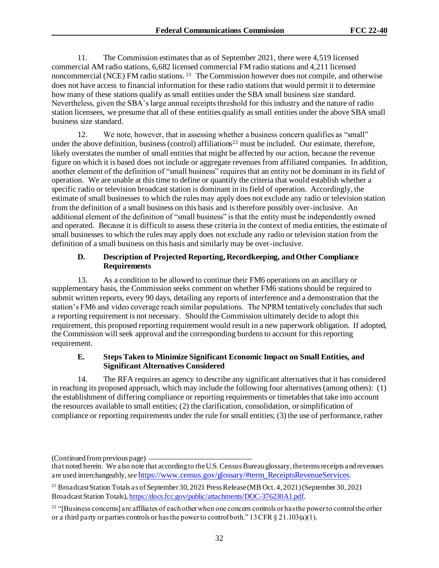11. The Commission estimates that as of September 2021, there were 4,519 licensed commercial AM radio stations, 6,682 licensed commercial FM radio stations and 4,211 licensed noncommercial (NCE) FM radio stations.<sup>21</sup> The Commission however does not compile, and otherwise does not have access to financial information for these radio stations that would permit it to determine how many of these stations qualify as small entities under the SBA small business size standard. Nevertheless, given the SBA's large annual receipts threshold for this industry and the nature of radio station licensees, we presume that all of these entities qualify as small entities under the above SBA small business size standard.

12. We note, however, that in assessing whether a business concern qualifies as "small" under the above definition, business (control) affiliations<sup>22</sup> must be included. Our estimate, therefore, likely overstates the number of small entities that might be affected by our action, because the revenue figure on which it is based does not include or aggregate revenues from affiliated companies. In addition, another element of the definition of "small business" requires that an entity not be dominant in its field of operation. We are unable at this time to define or quantify the criteria that would establish whether a specific radio or television broadcast station is dominant in its field of operation. Accordingly, the estimate of small businesses to which the rules may apply does not exclude any radio or television station from the definition of a small business on this basis and is therefore possibly over-inclusive. An additional element of the definition of "small business" is that the entity must be independently owned and operated. Because it is difficult to assess these criteria in the context of media entities, the estimate of small businesses to which the rules may apply does not exclude any radio or television station from the definition of a small business on this basis and similarly may be over-inclusive.

#### **D. Description of Projected Reporting, Recordkeeping, and Other Compliance Requirements**

13. As a condition to be allowed to continue their FM6 operations on an ancillary or supplementary basis, the Commission seeks comment on whether FM6 stations should be required to submit written reports, every 90 days, detailing any reports of interference and a demonstration that the station's FM6 and video coverage reach similar populations. The NPRM tentatively concludes that such a reporting requirement is not necessary. Should the Commission ultimately decide to adopt this requirement, this proposed reporting requirement would result in a new paperwork obligation. If adopted, the Commission will seek approval and the corresponding burdens to account for this reporting requirement.

## **E. Steps Taken to Minimize Significant Economic Impact on Small Entities, and Significant Alternatives Considered**

14. The RFA requires an agency to describe any significant alternatives that it has considered in reaching its proposed approach, which may include the following four alternatives (among others): (1) the establishment of differing compliance or reporting requirements or timetables that take into account the resources available to small entities; (2) the clarification, consolidation, or simplification of compliance or reporting requirements under the rule for small entities; (3) the use of performance, rather

<sup>(</sup>Continued from previous page)

that noted herein. We also note that according to the U.S. Census Bureau glossary, the terms receipts and revenues are used interchangeably, *see* https://www.census.gov/glossary/#term\_ReceiptsRevenueServices.

<sup>&</sup>lt;sup>21</sup> Broadcast Station Totals as of September 30, 2021 Press Release (MB Oct. 4, 2021) (September 30, 2021) Broadcast Station Totals), https://docs.fcc.gov/public/attachments/DOC-376230A1.pdf.

 $22$  "[Business concerns] are affiliates of each other when one concern controls or has the power to control the other or a third party or parties controls or has the power to control both."  $13 \text{ CFR } \S 21.103(a)(1)$ .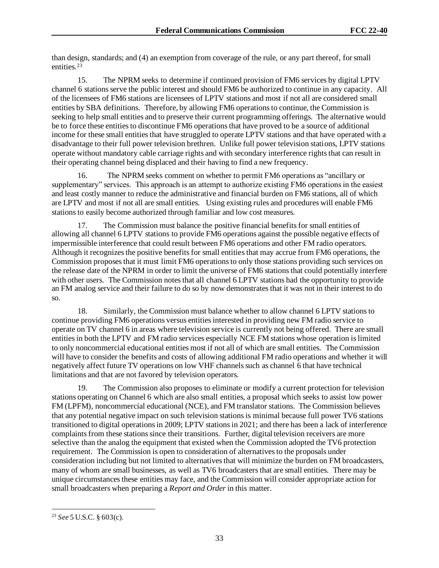than design, standards; and (4) an exemption from coverage of the rule, or any part thereof, for small entities.<sup>23</sup>

15. The NPRM seeks to determine if continued provision of FM6 services by digital LPTV channel 6 stations serve the public interest and should FM6 be authorized to continue in any capacity. All of the licensees of FM6 stations are licensees of LPTV stations and most if not all are considered small entities by SBA definitions. Therefore, by allowing FM6 operations to continue, the Commission is seeking to help small entities and to preserve their current programming offerings. The alternative would be to force these entities to discontinue FM6 operations that have proved to be a source of additional income for these small entities that have struggled to operate LPTV stations and that have operated with a disadvantage to their full power television brethren. Unlike full power television stations, LPTV stations operate without mandatory cable carriage rights and with secondary interference rights that can result in their operating channel being displaced and their having to find a new frequency.

16. The NPRM seeks comment on whether to permit FM6 operations as "ancillary or supplementary" services. This approach is an attempt to authorize existing FM6 operations in the easiest and least costly manner to reduce the administrative and financial burden on FM6 stations, all of which are LPTV and most if not all are small entities. Using existing rules and procedures will enable FM6 stations to easily become authorized through familiar and low cost measures.

The Commission must balance the positive financial benefits for small entities of allowing all channel 6 LPTV stations to provide FM6 operations against the possible negative effects of impermissible interference that could result between FM6 operations and other FM radio operators. Although it recognizes the positive benefits for small entities that may accrue from FM6 operations, the Commission proposes that it must limit FM6 operations to only those stations providing such services on the release date of the NPRM in order to limit the universe of FM6 stations that could potentially interfere with other users. The Commission notes that all channel 6 LPTV stations had the opportunity to provide an FM analog service and their failure to do so by now demonstrates that it was not in their interest to do so.

18. Similarly, the Commission must balance whether to allow channel 6 LPTV stations to continue providing FM6 operations versus entities interested in providing new FM radio service to operate on TV channel 6 in areas where television service is currently not being offered. There are small entitiesin both the LPTV and FM radio services especially NCE FM stations whose operation is limited to only noncommercial educational entities most if not all of which are small entities. The Commission will have to consider the benefits and costs of allowing additional FM radio operations and whether it will negatively affect future TV operations on low VHF channels such as channel 6 that have technical limitations and that are not favored by television operators.

19. The Commission also proposes to eliminate or modify a current protection for television stations operating on Channel 6 which are also small entities, a proposal which seeks to assist low power FM (LPFM), noncommercial educational (NCE), and FM translator stations. The Commission believes that any potential negative impact on such television stations is minimal because full power TV6 stations transitioned to digital operations in 2009; LPTV stations in 2021; and there has been a lack of interference complaints from these stations since their transitions. Further, digital television receivers are more selective than the analog the equipment that existed when the Commission adopted the TV6 protection requirement. The Commission is open to consideration of alternatives to the proposals under consideration including but not limited to alternatives that will minimize the burden on FM broadcasters, many of whom are small businesses, as well as TV6 broadcasters that are small entities. There may be unique circumstances these entities may face, and the Commission will consider appropriate action for small broadcasters when preparing a *Report and Order*in this matter.

<sup>23</sup> *See* 5 U.S.C. § 603(c).